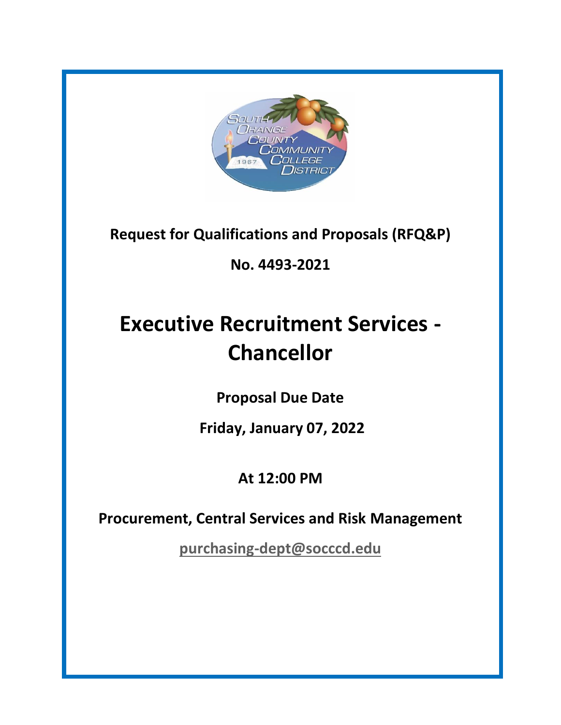

**Request for Qualifications and Proposals (RFQ&P)**

## **No. 4493-2021**

# **Executive Recruitment Services - Chancellor**

**Proposal Due Date**

**Friday, January 07, 2022**

# **At 12:00 PM**

**Procurement, Central Services and Risk Management**

**[purchasing-dept@socccd.edu](mailto:purchasing-dept@socccd.edu)**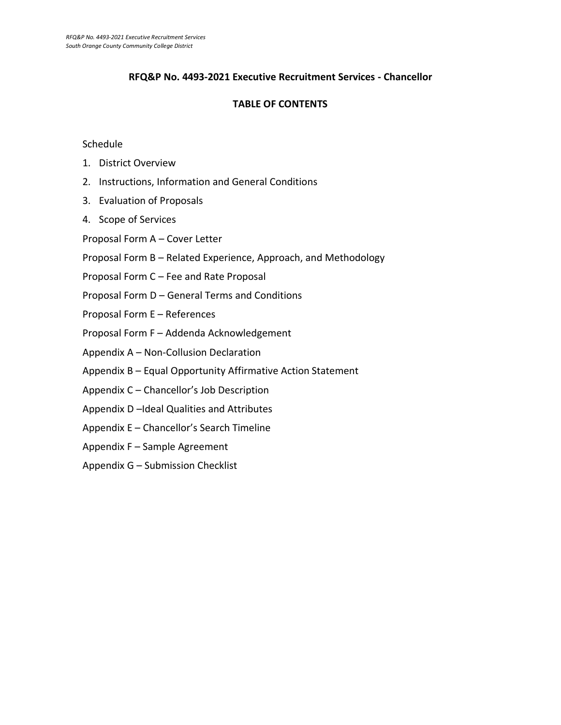### **RFQ&P No. 4493-2021 Executive Recruitment Services - Chancellor**

### **TABLE OF CONTENTS**

#### **Schedule**

- 1. District Overview
- 2. Instructions, Information and General Conditions
- 3. Evaluation of Proposals
- 4. Scope of Services
- Proposal Form A Cover Letter
- Proposal Form B Related Experience, Approach, and Methodology
- Proposal Form C Fee and Rate Proposal
- Proposal Form D General Terms and Conditions
- Proposal Form E References
- Proposal Form F Addenda Acknowledgement
- Appendix A Non-Collusion Declaration
- Appendix B Equal Opportunity Affirmative Action Statement
- Appendix C Chancellor's Job Description
- Appendix D –Ideal Qualities and Attributes
- Appendix E Chancellor's Search Timeline
- Appendix F Sample Agreement
- Appendix G Submission Checklist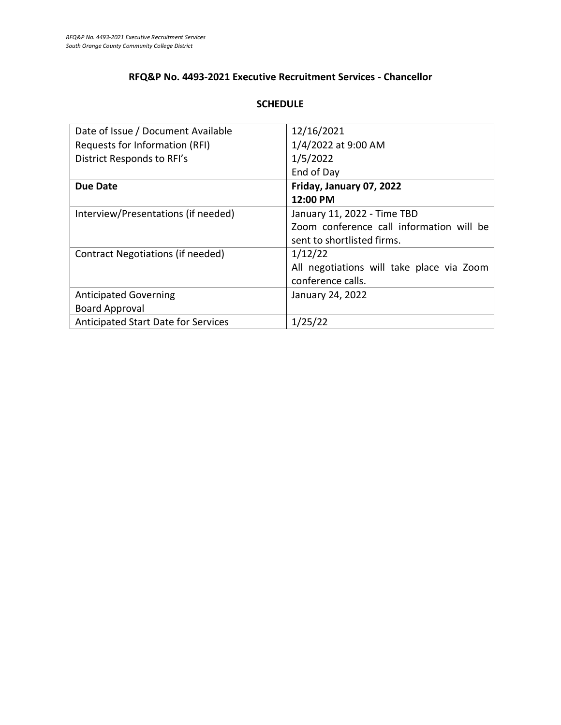### **RFQ&P No. 4493-2021 Executive Recruitment Services - Chancellor**

### **SCHEDULE**

| Date of Issue / Document Available  | 12/16/2021                                |
|-------------------------------------|-------------------------------------------|
| Requests for Information (RFI)      | 1/4/2022 at 9:00 AM                       |
| District Responds to RFI's          | 1/5/2022                                  |
|                                     | End of Day                                |
| <b>Due Date</b>                     | Friday, January 07, 2022                  |
|                                     | 12:00 PM                                  |
| Interview/Presentations (if needed) | January 11, 2022 - Time TBD               |
|                                     | Zoom conference call information will be  |
|                                     | sent to shortlisted firms.                |
| Contract Negotiations (if needed)   | 1/12/22                                   |
|                                     | All negotiations will take place via Zoom |
|                                     | conference calls.                         |
| <b>Anticipated Governing</b>        | January 24, 2022                          |
| <b>Board Approval</b>               |                                           |
| Anticipated Start Date for Services | 1/25/22                                   |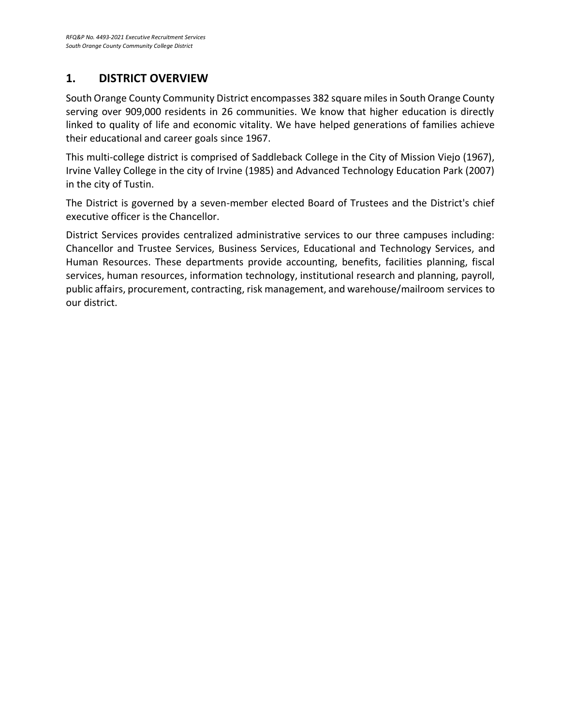### **1. DISTRICT OVERVIEW**

South Orange County Community District encompasses 382 square miles in South Orange County serving over 909,000 residents in 26 communities. We know that higher education is directly linked to quality of life and economic vitality. We have helped generations of families achieve their educational and career goals since 1967.

This multi-college district is comprised of Saddleback College in the City of Mission Viejo (1967), Irvine Valley College in the city of Irvine (1985) and Advanced Technology Education Park (2007) in the city of Tustin.

The District is governed by a seven-member elected Board of Trustees and the District's chief executive officer is the Chancellor.

District Services provides centralized administrative services to our three campuses including: Chancellor and Trustee Services, Business Services, Educational and Technology Services, and Human Resources. These departments provide accounting, benefits, facilities planning, fiscal services, human resources, information technology, institutional research and planning, payroll, public affairs, procurement, contracting, risk management, and warehouse/mailroom services to our district.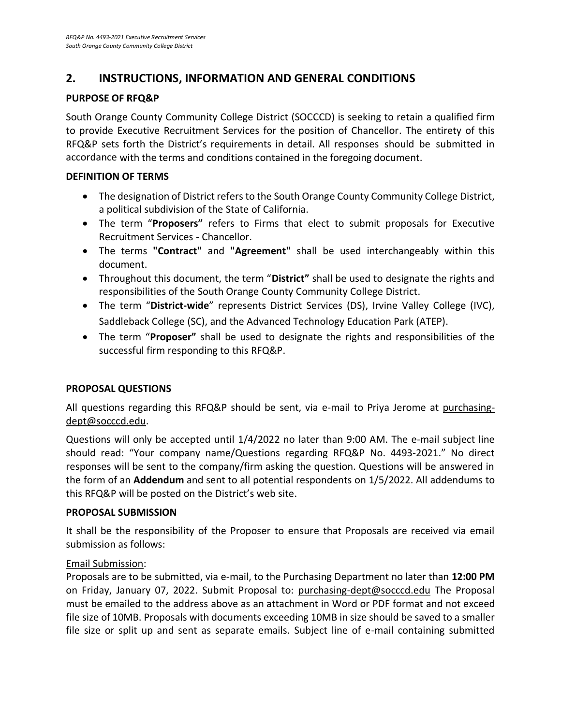### **2. INSTRUCTIONS, INFORMATION AND GENERAL CONDITIONS**

### **PURPOSE OF RFQ&P**

South Orange County Community College District (SOCCCD) is seeking to retain a qualified firm to provide Executive Recruitment Services for the position of Chancellor. The entirety of this RFQ&P sets forth the District's requirements in detail. All responses should be submitted in accordance with the terms and conditions contained in the foregoing document.

### **DEFINITION OF TERMS**

- The designation of District refers to the South Orange County Community College District, a political subdivision of the State of California.
- The term "**Proposers"** refers to Firms that elect to submit proposals for Executive Recruitment Services - Chancellor.
- The terms **"Contract"** and **"Agreement"** shall be used interchangeably within this document.
- Throughout this document, the term "**District"** shall be used to designate the rights and responsibilities of the South Orange County Community College District.
- The term "**District-wide**" represents District Services (DS), Irvine Valley College (IVC), Saddleback College (SC), and the Advanced Technology Education Park (ATEP).
- The term "**Proposer"** shall be used to designate the rights and responsibilities of the successful firm responding to this RFQ&P.

### **PROPOSAL QUESTIONS**

All questions regarding this RFQ&P should be sent, via e-mail to Priya Jerome at purchasingdept@socccd.edu.

Questions will only be accepted until 1/4/2022 no later than 9:00 AM. The e-mail subject line should read: "Your company name/Questions regarding RFQ&P No. 4493-2021." No direct responses will be sent to the company/firm asking the question. Questions will be answered in the form of an **Addendum** and sent to all potential respondents on 1/5/2022. All addendums to this RFQ&P will be posted on the District's web site.

### **PROPOSAL SUBMISSION**

It shall be the responsibility of the Proposer to ensure that Proposals are received via email submission as follows:

### Email Submission:

Proposals are to be submitted, via e-mail, to the Purchasing Department no later than **12:00 PM** on Friday, January 07, 2022. Submit Proposal to: [purchasing-dept@socccd.edu](mailto:purchasing-dept@socccd.edu) The Proposal must be emailed to the address above as an attachment in Word or PDF format and not exceed file size of 10MB. Proposals with documents exceeding 10MB in size should be saved to a smaller file size or split up and sent as separate emails. Subject line of e-mail containing submitted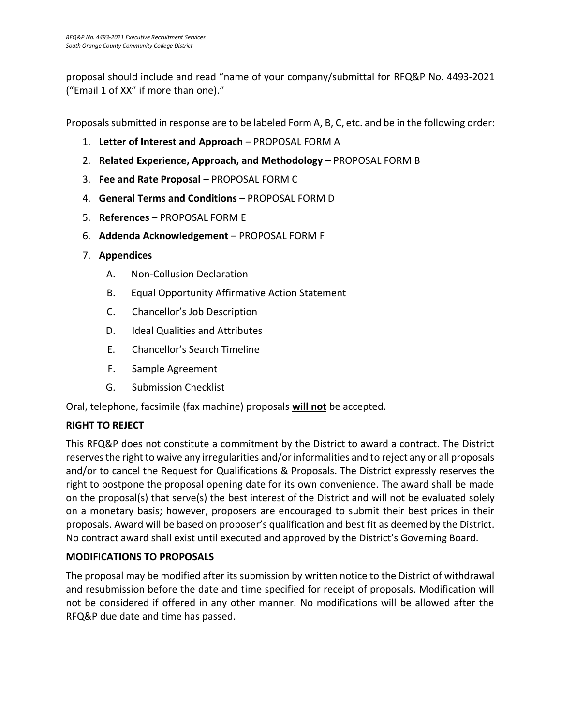proposal should include and read "name of your company/submittal for RFQ&P No. 4493-2021 ("Email 1 of XX" if more than one)."

Proposals submitted in response are to be labeled Form A, B, C, etc. and be in the following order:

- 1. **Letter of Interest and Approach** PROPOSAL FORM A
- 2. **Related Experience, Approach, and Methodology** PROPOSAL FORM B
- 3. **Fee and Rate Proposal** PROPOSAL FORM C
- 4. **General Terms and Conditions** PROPOSAL FORM D
- 5. **References** PROPOSAL FORM E
- 6. **Addenda Acknowledgement** PROPOSAL FORM F
- 7. **Appendices**
	- A. Non-Collusion Declaration
	- B. Equal Opportunity Affirmative Action Statement
	- C. Chancellor's Job Description
	- D. Ideal Qualities and Attributes
	- E. Chancellor's Search Timeline
	- F. Sample Agreement
	- G. Submission Checklist

Oral, telephone, facsimile (fax machine) proposals **will not** be accepted.

### **RIGHT TO REJECT**

This RFQ&P does not constitute a commitment by the District to award a contract. The District reserves the right to waive any irregularities and/or informalities and to reject any or all proposals and/or to cancel the Request for Qualifications & Proposals. The District expressly reserves the right to postpone the proposal opening date for its own convenience. The award shall be made on the proposal(s) that serve(s) the best interest of the District and will not be evaluated solely on a monetary basis; however, proposers are encouraged to submit their best prices in their proposals. Award will be based on proposer's qualification and best fit as deemed by the District. No contract award shall exist until executed and approved by the District's Governing Board.

### **MODIFICATIONS TO PROPOSALS**

The proposal may be modified after its submission by written notice to the District of withdrawal and resubmission before the date and time specified for receipt of proposals. Modification will not be considered if offered in any other manner. No modifications will be allowed after the RFQ&P due date and time has passed.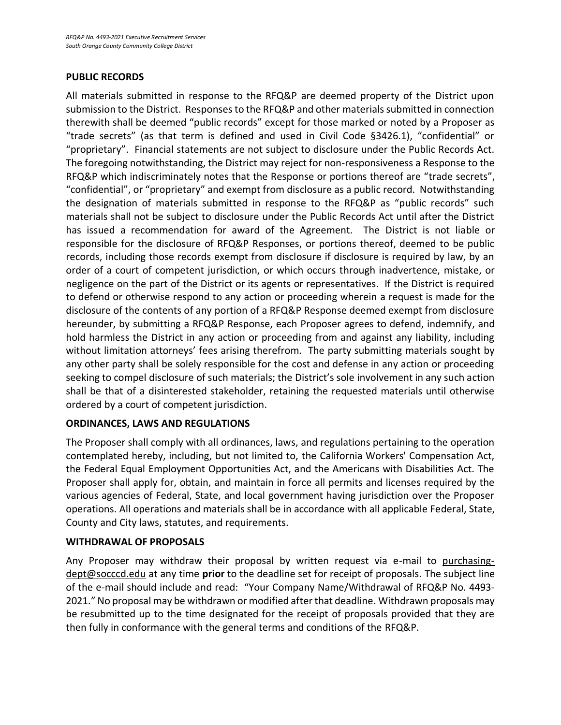### **PUBLIC RECORDS**

All materials submitted in response to the RFQ&P are deemed property of the District upon submission to the District. Responses to the RFQ&P and other materials submitted in connection therewith shall be deemed "public records" except for those marked or noted by a Proposer as "trade secrets" (as that term is defined and used in Civil Code §3426.1), "confidential" or "proprietary". Financial statements are not subject to disclosure under the Public Records Act. The foregoing notwithstanding, the District may reject for non-responsiveness a Response to the RFQ&P which indiscriminately notes that the Response or portions thereof are "trade secrets", "confidential", or "proprietary" and exempt from disclosure as a public record. Notwithstanding the designation of materials submitted in response to the RFQ&P as "public records" such materials shall not be subject to disclosure under the Public Records Act until after the District has issued a recommendation for award of the Agreement. The District is not liable or responsible for the disclosure of RFQ&P Responses, or portions thereof, deemed to be public records, including those records exempt from disclosure if disclosure is required by law, by an order of a court of competent jurisdiction, or which occurs through inadvertence, mistake, or negligence on the part of the District or its agents or representatives. If the District is required to defend or otherwise respond to any action or proceeding wherein a request is made for the disclosure of the contents of any portion of a RFQ&P Response deemed exempt from disclosure hereunder, by submitting a RFQ&P Response, each Proposer agrees to defend, indemnify, and hold harmless the District in any action or proceeding from and against any liability, including without limitation attorneys' fees arising therefrom. The party submitting materials sought by any other party shall be solely responsible for the cost and defense in any action or proceeding seeking to compel disclosure of such materials; the District's sole involvement in any such action shall be that of a disinterested stakeholder, retaining the requested materials until otherwise ordered by a court of competent jurisdiction.

### **ORDINANCES, LAWS AND REGULATIONS**

The Proposer shall comply with all ordinances, laws, and regulations pertaining to the operation contemplated hereby, including, but not limited to, the California Workers' Compensation Act, the Federal Equal Employment Opportunities Act, and the Americans with Disabilities Act. The Proposer shall apply for, obtain, and maintain in force all permits and licenses required by the various agencies of Federal, State, and local government having jurisdiction over the Proposer operations. All operations and materials shall be in accordance with all applicable Federal, State, County and City laws, statutes, and requirements.

### **WITHDRAWAL OF PROPOSALS**

Any Proposer may withdraw their proposal by written request via e-mail to purchasingdept@socccd.edu at any time **prior** to the deadline set for receipt of proposals. The subject line of the e-mail should include and read: "Your Company Name/Withdrawal of RFQ&P No. 4493- 2021." No proposal may be withdrawn or modified after that deadline. Withdrawn proposals may be resubmitted up to the time designated for the receipt of proposals provided that they are then fully in conformance with the general terms and conditions of the RFQ&P.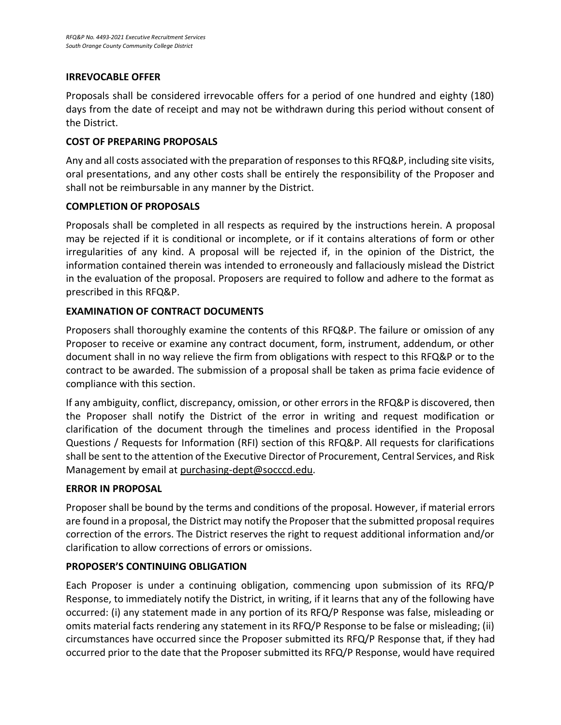### **IRREVOCABLE OFFER**

Proposals shall be considered irrevocable offers for a period of one hundred and eighty (180) days from the date of receipt and may not be withdrawn during this period without consent of the District.

### **COST OF PREPARING PROPOSALS**

Any and all costs associated with the preparation of responses to this RFQ&P, including site visits, oral presentations, and any other costs shall be entirely the responsibility of the Proposer and shall not be reimbursable in any manner by the District.

### **COMPLETION OF PROPOSALS**

Proposals shall be completed in all respects as required by the instructions herein. A proposal may be rejected if it is conditional or incomplete, or if it contains alterations of form or other irregularities of any kind. A proposal will be rejected if, in the opinion of the District, the information contained therein was intended to erroneously and fallaciously mislead the District in the evaluation of the proposal. Proposers are required to follow and adhere to the format as prescribed in this RFQ&P.

### **EXAMINATION OF CONTRACT DOCUMENTS**

Proposers shall thoroughly examine the contents of this RFQ&P. The failure or omission of any Proposer to receive or examine any contract document, form, instrument, addendum, or other document shall in no way relieve the firm from obligations with respect to this RFQ&P or to the contract to be awarded. The submission of a proposal shall be taken as prima facie evidence of compliance with this section.

If any ambiguity, conflict, discrepancy, omission, or other errors in the RFQ&P is discovered, then the Proposer shall notify the District of the error in writing and request modification or clarification of the document through the timelines and process identified in the Proposal Questions / Requests for Information (RFI) section of this RFQ&P. All requests for clarifications shall be sent to the attention of the Executive Director of Procurement, Central Services, and Risk Management by email at [purchasing-dept@socccd.edu.](mailto:purchasing-dept@socccd.edu)

### **ERROR IN PROPOSAL**

Proposer shall be bound by the terms and conditions of the proposal. However, if material errors are found in a proposal, the District may notify the Proposer that the submitted proposal requires correction of the errors. The District reserves the right to request additional information and/or clarification to allow corrections of errors or omissions.

### **PROPOSER'S CONTINUING OBLIGATION**

Each Proposer is under a continuing obligation, commencing upon submission of its RFQ/P Response, to immediately notify the District, in writing, if it learns that any of the following have occurred: (i) any statement made in any portion of its RFQ/P Response was false, misleading or omits material facts rendering any statement in its RFQ/P Response to be false or misleading; (ii) circumstances have occurred since the Proposer submitted its RFQ/P Response that, if they had occurred prior to the date that the Proposer submitted its RFQ/P Response, would have required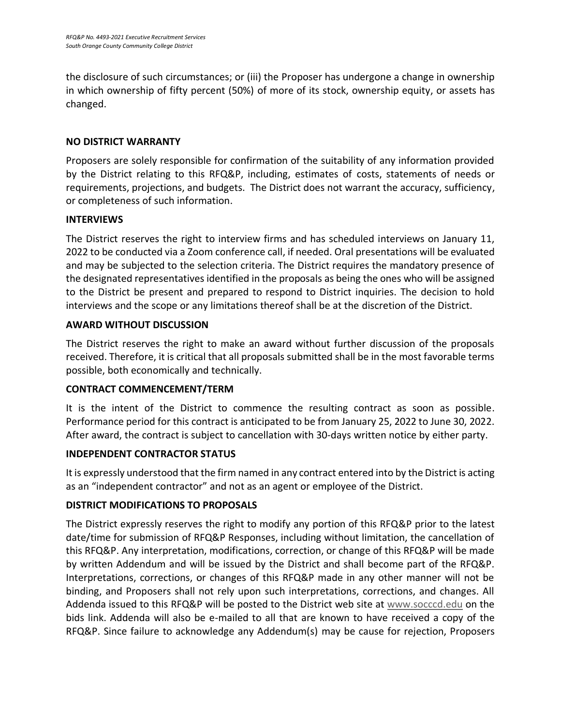the disclosure of such circumstances; or (iii) the Proposer has undergone a change in ownership in which ownership of fifty percent (50%) of more of its stock, ownership equity, or assets has changed.

### **NO DISTRICT WARRANTY**

Proposers are solely responsible for confirmation of the suitability of any information provided by the District relating to this RFQ&P, including, estimates of costs, statements of needs or requirements, projections, and budgets. The District does not warrant the accuracy, sufficiency, or completeness of such information.

### **INTERVIEWS**

The District reserves the right to interview firms and has scheduled interviews on January 11, 2022 to be conducted via a Zoom conference call, if needed. Oral presentations will be evaluated and may be subjected to the selection criteria. The District requires the mandatory presence of the designated representatives identified in the proposals as being the ones who will be assigned to the District be present and prepared to respond to District inquiries. The decision to hold interviews and the scope or any limitations thereof shall be at the discretion of the District.

### **AWARD WITHOUT DISCUSSION**

The District reserves the right to make an award without further discussion of the proposals received. Therefore, it is critical that all proposals submitted shall be in the most favorable terms possible, both economically and technically.

### **CONTRACT COMMENCEMENT/TERM**

It is the intent of the District to commence the resulting contract as soon as possible. Performance period for this contract is anticipated to be from January 25, 2022 to June 30, 2022. After award, the contract is subject to cancellation with 30-days written notice by either party.

### **INDEPENDENT CONTRACTOR STATUS**

It is expressly understood that the firm named in any contract entered into by the District is acting as an "independent contractor" and not as an agent or employee of the District.

### **DISTRICT MODIFICATIONS TO PROPOSALS**

The District expressly reserves the right to modify any portion of this RFQ&P prior to the latest date/time for submission of RFQ&P Responses, including without limitation, the cancellation of this RFQ&P. Any interpretation, modifications, correction, or change of this RFQ&P will be made by written Addendum and will be issued by the District and shall become part of the RFQ&P. Interpretations, corrections, or changes of this RFQ&P made in any other manner will not be binding, and Proposers shall not rely upon such interpretations, corrections, and changes. All Addenda issued to this RFQ&P will be posted to the District web site at [www.socccd.edu](http://www.socccd.edu/) on the bids link. Addenda will also be e-mailed to all that are known to have received a copy of the RFQ&P. Since failure to acknowledge any Addendum(s) may be cause for rejection, Proposers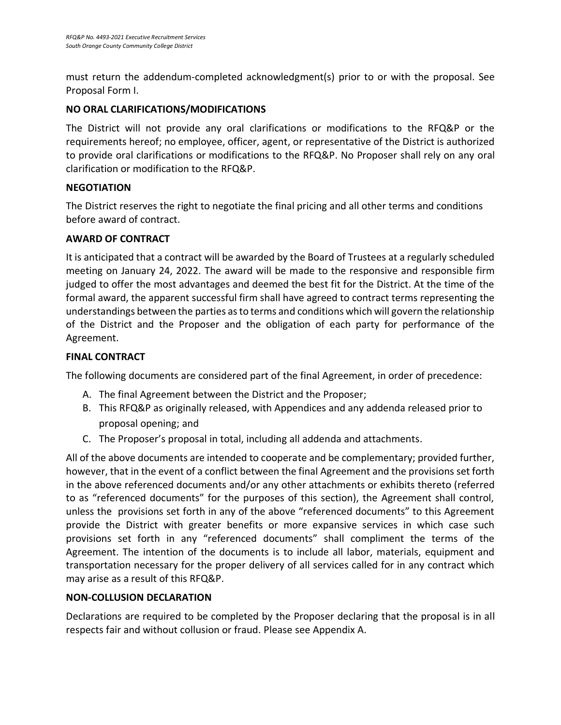must return the addendum-completed acknowledgment(s) prior to or with the proposal. See Proposal Form I.

### **NO ORAL CLARIFICATIONS/MODIFICATIONS**

The District will not provide any oral clarifications or modifications to the RFQ&P or the requirements hereof; no employee, officer, agent, or representative of the District is authorized to provide oral clarifications or modifications to the RFQ&P. No Proposer shall rely on any oral clarification or modification to the RFQ&P.

### **NEGOTIATION**

The District reserves the right to negotiate the final pricing and all other terms and conditions before award of contract.

### **AWARD OF CONTRACT**

It is anticipated that a contract will be awarded by the Board of Trustees at a regularly scheduled meeting on January 24, 2022. The award will be made to the responsive and responsible firm judged to offer the most advantages and deemed the best fit for the District. At the time of the formal award, the apparent successful firm shall have agreed to contract terms representing the understandings between the parties as to terms and conditions which will govern the relationship of the District and the Proposer and the obligation of each party for performance of the Agreement.

### **FINAL CONTRACT**

The following documents are considered part of the final Agreement, in order of precedence:

- A. The final Agreement between the District and the Proposer;
- B. This RFQ&P as originally released, with Appendices and any addenda released prior to proposal opening; and
- C. The Proposer's proposal in total, including all addenda and attachments.

All of the above documents are intended to cooperate and be complementary; provided further, however, that in the event of a conflict between the final Agreement and the provisions set forth in the above referenced documents and/or any other attachments or exhibits thereto (referred to as "referenced documents" for the purposes of this section), the Agreement shall control, unless the provisions set forth in any of the above "referenced documents" to this Agreement provide the District with greater benefits or more expansive services in which case such provisions set forth in any "referenced documents" shall compliment the terms of the Agreement. The intention of the documents is to include all labor, materials, equipment and transportation necessary for the proper delivery of all services called for in any contract which may arise as a result of this RFQ&P.

### **NON-COLLUSION DECLARATION**

Declarations are required to be completed by the Proposer declaring that the proposal is in all respects fair and without collusion or fraud. Please see Appendix A.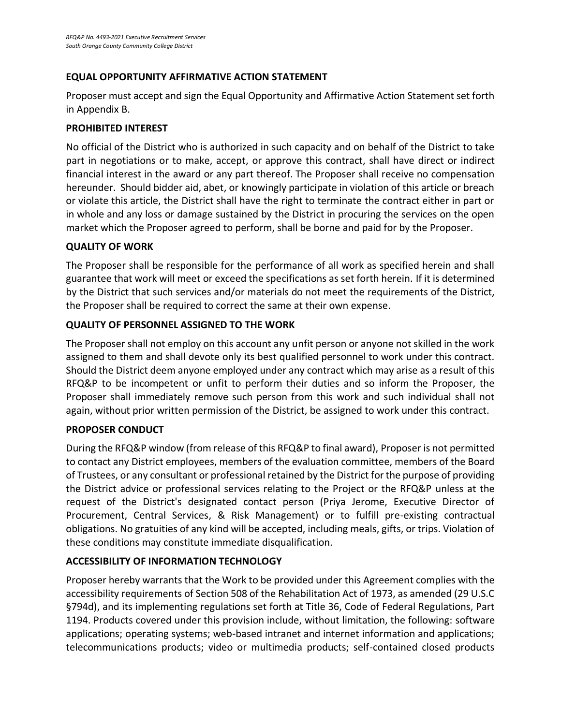### **EQUAL OPPORTUNITY AFFIRMATIVE ACTION STATEMENT**

Proposer must accept and sign the Equal Opportunity and Affirmative Action Statement set forth in Appendix B.

### **PROHIBITED INTEREST**

No official of the District who is authorized in such capacity and on behalf of the District to take part in negotiations or to make, accept, or approve this contract, shall have direct or indirect financial interest in the award or any part thereof. The Proposer shall receive no compensation hereunder. Should bidder aid, abet, or knowingly participate in violation of this article or breach or violate this article, the District shall have the right to terminate the contract either in part or in whole and any loss or damage sustained by the District in procuring the services on the open market which the Proposer agreed to perform, shall be borne and paid for by the Proposer.

### **QUALITY OF WORK**

The Proposer shall be responsible for the performance of all work as specified herein and shall guarantee that work will meet or exceed the specifications as set forth herein. If it is determined by the District that such services and/or materials do not meet the requirements of the District, the Proposer shall be required to correct the same at their own expense.

### **QUALITY OF PERSONNEL ASSIGNED TO THE WORK**

The Proposer shall not employ on this account any unfit person or anyone not skilled in the work assigned to them and shall devote only its best qualified personnel to work under this contract. Should the District deem anyone employed under any contract which may arise as a result of this RFQ&P to be incompetent or unfit to perform their duties and so inform the Proposer, the Proposer shall immediately remove such person from this work and such individual shall not again, without prior written permission of the District, be assigned to work under this contract.

### **PROPOSER CONDUCT**

During the RFQ&P window (from release of this RFQ&P to final award), Proposer is not permitted to contact any District employees, members of the evaluation committee, members of the Board of Trustees, or any consultant or professional retained by the District for the purpose of providing the District advice or professional services relating to the Project or the RFQ&P unless at the request of the District's designated contact person (Priya Jerome, Executive Director of Procurement, Central Services, & Risk Management) or to fulfill pre-existing contractual obligations. No gratuities of any kind will be accepted, including meals, gifts, or trips. Violation of these conditions may constitute immediate disqualification.

### **ACCESSIBILITY OF INFORMATION TECHNOLOGY**

Proposer hereby warrants that the Work to be provided under this Agreement complies with the accessibility requirements of Section 508 of the Rehabilitation Act of 1973, as amended (29 U.S.C §794d), and its implementing regulations set forth at Title 36, Code of Federal Regulations, Part 1194. Products covered under this provision include, without limitation, the following: software applications; operating systems; web-based intranet and internet information and applications; telecommunications products; video or multimedia products; self-contained closed products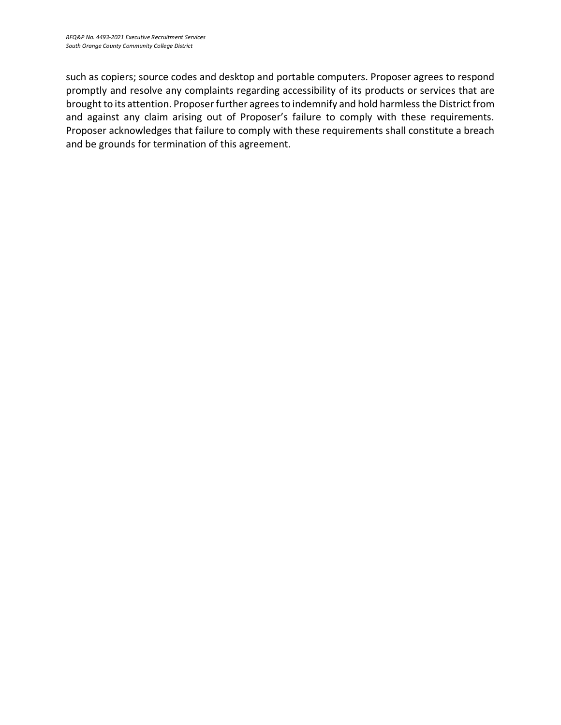such as copiers; source codes and desktop and portable computers. Proposer agrees to respond promptly and resolve any complaints regarding accessibility of its products or services that are brought to its attention. Proposer further agrees to indemnify and hold harmless the District from and against any claim arising out of Proposer's failure to comply with these requirements. Proposer acknowledges that failure to comply with these requirements shall constitute a breach and be grounds for termination of this agreement.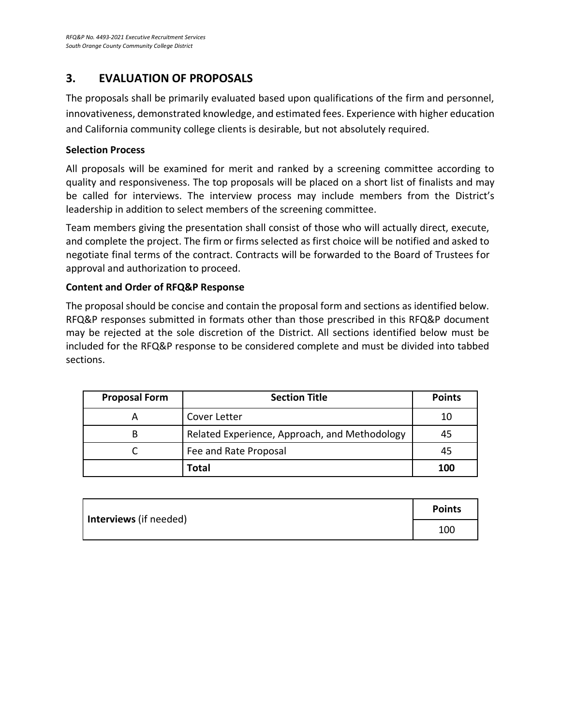### **3. EVALUATION OF PROPOSALS**

The proposals shall be primarily evaluated based upon qualifications of the firm and personnel, innovativeness, demonstrated knowledge, and estimated fees. Experience with higher education and California community college clients is desirable, but not absolutely required.

### **Selection Process**

All proposals will be examined for merit and ranked by a screening committee according to quality and responsiveness. The top proposals will be placed on a short list of finalists and may be called for interviews. The interview process may include members from the District's leadership in addition to select members of the screening committee.

Team members giving the presentation shall consist of those who will actually direct, execute, and complete the project. The firm or firms selected as first choice will be notified and asked to negotiate final terms of the contract. Contracts will be forwarded to the Board of Trustees for approval and authorization to proceed.

### **Content and Order of RFQ&P Response**

The proposal should be concise and contain the proposal form and sections as identified below. RFQ&P responses submitted in formats other than those prescribed in this RFQ&P document may be rejected at the sole discretion of the District. All sections identified below must be included for the RFQ&P response to be considered complete and must be divided into tabbed sections.

| <b>Proposal Form</b> | <b>Section Title</b>                          | <b>Points</b> |
|----------------------|-----------------------------------------------|---------------|
|                      | Cover Letter                                  | 10            |
|                      | Related Experience, Approach, and Methodology | 45            |
|                      | Fee and Rate Proposal                         | 45            |
|                      | Total                                         | 100           |

| Interviews (if needed) | <b>Points</b> |
|------------------------|---------------|
|                        | 100           |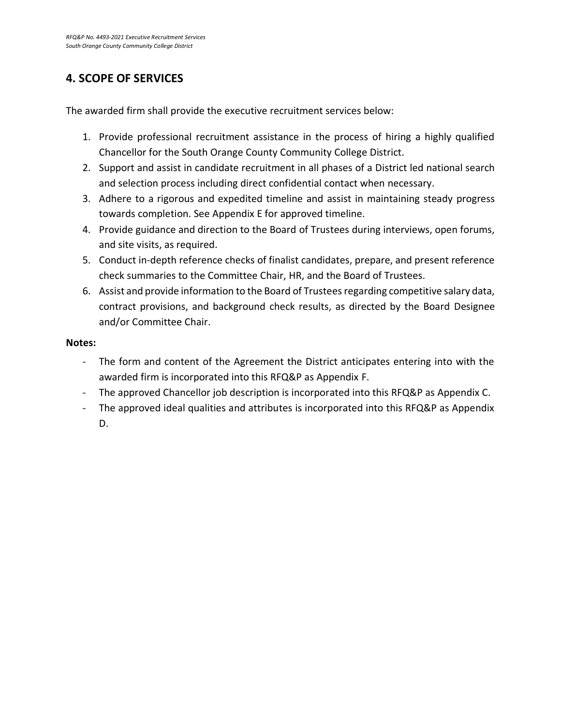### **4. SCOPE OF SERVICES**

The awarded firm shall provide the executive recruitment services below:

- 1. Provide professional recruitment assistance in the process of hiring a highly qualified Chancellor for the South Orange County Community College District.
- 2. Support and assist in candidate recruitment in all phases of a District led national search and selection process including direct confidential contact when necessary.
- 3. Adhere to a rigorous and expedited timeline and assist in maintaining steady progress towards completion. See Appendix E for approved timeline.
- 4. Provide guidance and direction to the Board of Trustees during interviews, open forums, and site visits, as required.
- 5. Conduct in-depth reference checks of finalist candidates, prepare, and present reference check summaries to the Committee Chair, HR, and the Board of Trustees.
- 6. Assist and provide information to the Board of Trusteesregarding competitive salary data, contract provisions, and background check results, as directed by the Board Designee and/or Committee Chair.

### **Notes:**

- The form and content of the Agreement the District anticipates entering into with the awarded firm is incorporated into this RFQ&P as Appendix F.
- The approved Chancellor job description is incorporated into this RFQ&P as Appendix C.
- The approved ideal qualities and attributes is incorporated into this RFQ&P as Appendix D.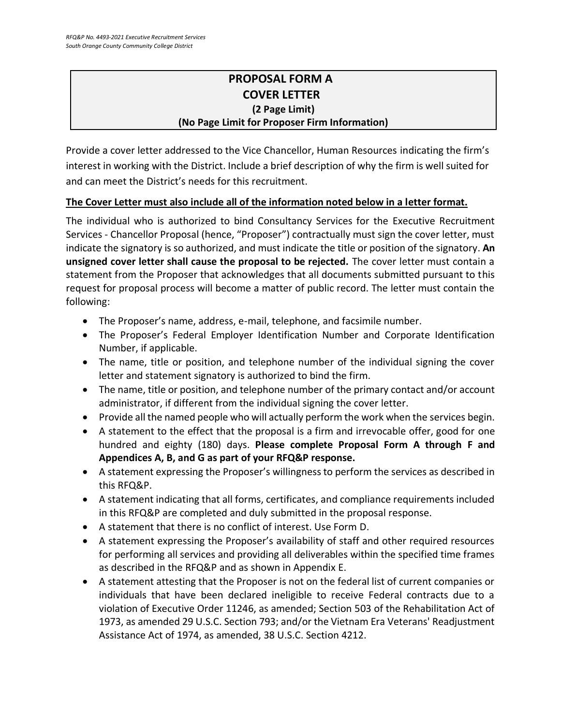### **PROPOSAL FORM A COVER LETTER (2 Page Limit) (No Page Limit for Proposer Firm Information)**

Provide a cover letter addressed to the Vice Chancellor, Human Resources indicating the firm's interest in working with the District. Include a brief description of why the firm is well suited for and can meet the District's needs for this recruitment.

### **The Cover Letter must also include all of the information noted below in a letter format.**

The individual who is authorized to bind Consultancy Services for the Executive Recruitment Services - Chancellor Proposal (hence, "Proposer") contractually must sign the cover letter, must indicate the signatory is so authorized, and must indicate the title or position of the signatory. **An unsigned cover letter shall cause the proposal to be rejected.** The cover letter must contain a statement from the Proposer that acknowledges that all documents submitted pursuant to this request for proposal process will become a matter of public record. The letter must contain the following:

- The Proposer's name, address, e-mail, telephone, and facsimile number.
- The Proposer's Federal Employer Identification Number and Corporate Identification Number, if applicable.
- The name, title or position, and telephone number of the individual signing the cover letter and statement signatory is authorized to bind the firm.
- The name, title or position, and telephone number of the primary contact and/or account administrator, if different from the individual signing the cover letter.
- Provide all the named people who will actually perform the work when the services begin.
- A statement to the effect that the proposal is a firm and irrevocable offer, good for one hundred and eighty (180) days. **Please complete Proposal Form A through F and Appendices A, B, and G as part of your RFQ&P response.**
- A statement expressing the Proposer's willingness to perform the services as described in this RFQ&P.
- A statement indicating that all forms, certificates, and compliance requirements included in this RFQ&P are completed and duly submitted in the proposal response.
- A statement that there is no conflict of interest. Use Form D.
- A statement expressing the Proposer's availability of staff and other required resources for performing all services and providing all deliverables within the specified time frames as described in the RFQ&P and as shown in Appendix E.
- A statement attesting that the Proposer is not on the federal list of current companies or individuals that have been declared ineligible to receive Federal contracts due to a violation of Executive Order 11246, as amended; Section 503 of the Rehabilitation Act of 1973, as amended 29 U.S.C. Section 793; and/or the Vietnam Era Veterans' Readjustment Assistance Act of 1974, as amended, 38 U.S.C. Section 4212.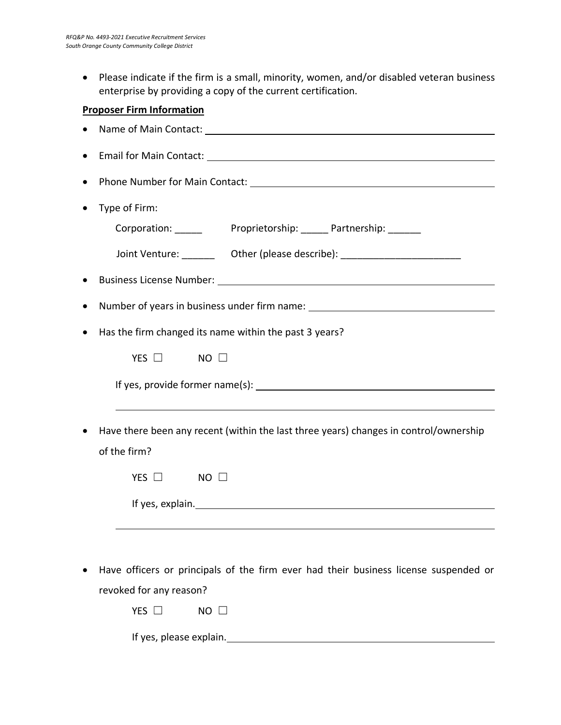• Please indicate if the firm is a small, minority, women, and/or disabled veteran business enterprise by providing a copy of the current certification.

### **Proposer Firm Information**

| Phone Number for Main Contact: Manual Context: New York Context Context Context Context Context Context Context                                                                                                                |
|--------------------------------------------------------------------------------------------------------------------------------------------------------------------------------------------------------------------------------|
| Type of Firm:                                                                                                                                                                                                                  |
| Corporation: ______ Proprietorship: _____ Partnership: ______                                                                                                                                                                  |
| Joint Venture: __________ Other (please describe): _____________________________                                                                                                                                               |
|                                                                                                                                                                                                                                |
| Number of years in business under firm name: ___________________________________                                                                                                                                               |
| Has the firm changed its name within the past 3 years?                                                                                                                                                                         |
| $NO$ $\square$<br>YES $\Box$                                                                                                                                                                                                   |
|                                                                                                                                                                                                                                |
| Have there been any recent (within the last three years) changes in control/ownership<br>of the firm?                                                                                                                          |
| YES $\Box$<br>$NO$ $\square$                                                                                                                                                                                                   |
| If yes, explain. The same state of the state of the state of the state of the state of the state of the state of the state of the state of the state of the state of the state of the state of the state of the state of the s |
|                                                                                                                                                                                                                                |
| Have officers or principals of the firm ever had their business license suspended or<br>revoked for any reason?                                                                                                                |

If yes, please explain.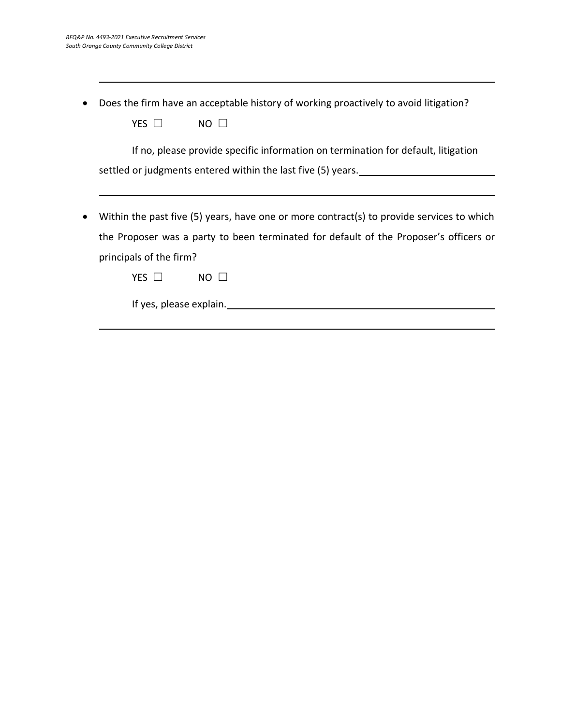|  | • Does the firm have an acceptable history of working proactively to avoid litigation? |  |  |  |  |
|--|----------------------------------------------------------------------------------------|--|--|--|--|
|--|----------------------------------------------------------------------------------------|--|--|--|--|

If no, please provide specific information on termination for default, litigation settled or judgments entered within the last five (5) years.

• Within the past five (5) years, have one or more contract(s) to provide services to which the Proposer was a party to been terminated for default of the Proposer's officers or principals of the firm?

If yes, please explain.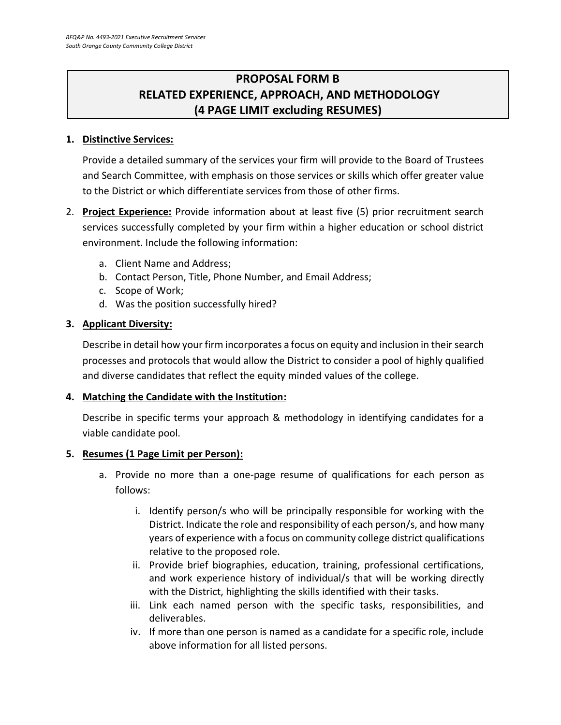### **PROPOSAL FORM B RELATED EXPERIENCE, APPROACH, AND METHODOLOGY (4 PAGE LIMIT excluding RESUMES)**

### **1. Distinctive Services:**

Provide a detailed summary of the services your firm will provide to the Board of Trustees and Search Committee, with emphasis on those services or skills which offer greater value to the District or which differentiate services from those of other firms.

- 2. **Project Experience:** Provide information about at least five (5) prior recruitment search services successfully completed by your firm within a higher education or school district environment. Include the following information:
	- a. Client Name and Address;
	- b. Contact Person, Title, Phone Number, and Email Address;
	- c. Scope of Work;
	- d. Was the position successfully hired?

### **3. Applicant Diversity:**

Describe in detail how your firm incorporates a focus on equity and inclusion in their search processes and protocols that would allow the District to consider a pool of highly qualified and diverse candidates that reflect the equity minded values of the college.

### **4. Matching the Candidate with the Institution:**

Describe in specific terms your approach & methodology in identifying candidates for a viable candidate pool.

### **5. Resumes (1 Page Limit per Person):**

- a. Provide no more than a one-page resume of qualifications for each person as follows:
	- i. Identify person/s who will be principally responsible for working with the District. Indicate the role and responsibility of each person/s, and how many years of experience with a focus on community college district qualifications relative to the proposed role.
	- ii. Provide brief biographies, education, training, professional certifications, and work experience history of individual/s that will be working directly with the District, highlighting the skills identified with their tasks.
	- iii. Link each named person with the specific tasks, responsibilities, and deliverables.
	- iv. If more than one person is named as a candidate for a specific role, include above information for all listed persons.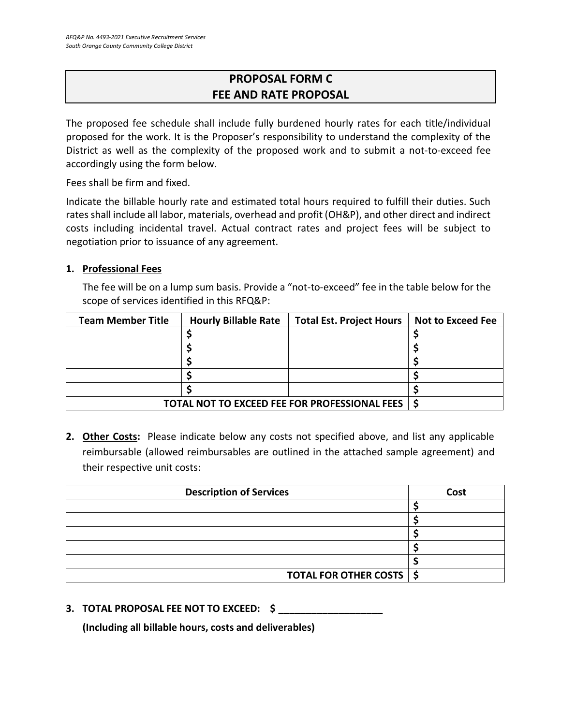### **PROPOSAL FORM C FEE AND RATE PROPOSAL**

The proposed fee schedule shall include fully burdened hourly rates for each title/individual proposed for the work. It is the Proposer's responsibility to understand the complexity of the District as well as the complexity of the proposed work and to submit a not-to-exceed fee accordingly using the form below.

Fees shall be firm and fixed.

Indicate the billable hourly rate and estimated total hours required to fulfill their duties. Such rates shall include all labor, materials, overhead and profit (OH&P), and other direct and indirect costs including incidental travel. Actual contract rates and project fees will be subject to negotiation prior to issuance of any agreement.

### **1. Professional Fees**

The fee will be on a lump sum basis. Provide a "not-to-exceed" fee in the table below for the scope of services identified in this RFQ&P:

| <b>Team Member Title</b>                                  | <b>Hourly Billable Rate</b> | <b>Total Est. Project Hours</b> | <b>Not to Exceed Fee</b> |
|-----------------------------------------------------------|-----------------------------|---------------------------------|--------------------------|
|                                                           |                             |                                 |                          |
|                                                           |                             |                                 |                          |
|                                                           |                             |                                 |                          |
|                                                           |                             |                                 |                          |
|                                                           |                             |                                 |                          |
| <b>TOTAL NOT TO EXCEED FEE FOR PROFESSIONAL FEES   \$</b> |                             |                                 |                          |

**2. Other Costs:** Please indicate below any costs not specified above, and list any applicable reimbursable (allowed reimbursables are outlined in the attached sample agreement) and their respective unit costs:

| <b>Description of Services</b> | Cost |
|--------------------------------|------|
|                                |      |
|                                |      |
|                                |      |
|                                |      |
|                                |      |
| TOTAL FOR OTHER COSTS   \$     |      |

**3. TOTAL PROPOSAL FEE NOT TO EXCEED: \$ \_\_\_\_\_\_\_\_\_\_\_\_\_\_\_\_\_\_\_**

**(Including all billable hours, costs and deliverables)**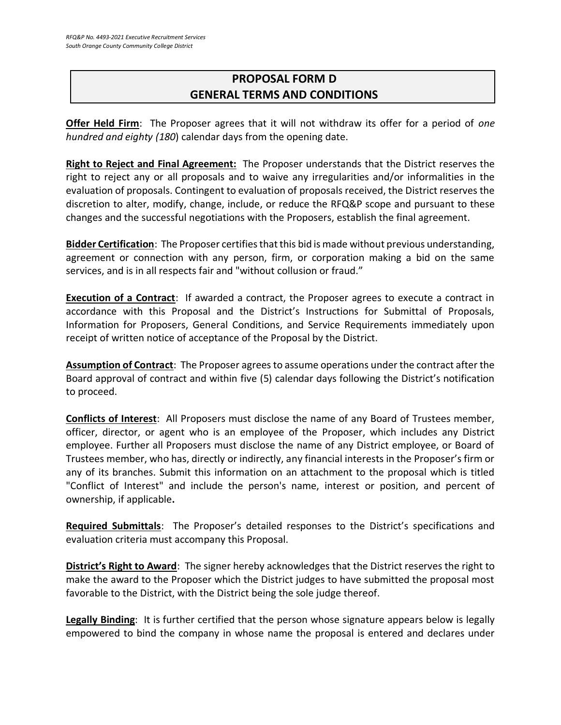### **PROPOSAL FORM D GENERAL TERMS AND CONDITIONS**

**Offer Held Firm**: The Proposer agrees that it will not withdraw its offer for a period of *one hundred and eighty (180*) calendar days from the opening date.

**Right to Reject and Final Agreement:** The Proposer understands that the District reserves the right to reject any or all proposals and to waive any irregularities and/or informalities in the evaluation of proposals. Contingent to evaluation of proposals received, the District reserves the discretion to alter, modify, change, include, or reduce the RFQ&P scope and pursuant to these changes and the successful negotiations with the Proposers, establish the final agreement.

**Bidder Certification**: The Proposer certifies that this bid is made without previous understanding, agreement or connection with any person, firm, or corporation making a bid on the same services, and is in all respects fair and "without collusion or fraud."

**Execution of a Contract**: If awarded a contract, the Proposer agrees to execute a contract in accordance with this Proposal and the District's Instructions for Submittal of Proposals, Information for Proposers, General Conditions, and Service Requirements immediately upon receipt of written notice of acceptance of the Proposal by the District.

**Assumption of Contract**: The Proposer agrees to assume operations under the contract after the Board approval of contract and within five (5) calendar days following the District's notification to proceed.

**Conflicts of Interest**: All Proposers must disclose the name of any Board of Trustees member, officer, director, or agent who is an employee of the Proposer, which includes any District employee. Further all Proposers must disclose the name of any District employee, or Board of Trustees member, who has, directly or indirectly, any financial interests in the Proposer's firm or any of its branches. Submit this information on an attachment to the proposal which is titled "Conflict of Interest" and include the person's name, interest or position, and percent of ownership, if applicable**.**

**Required Submittals**: The Proposer's detailed responses to the District's specifications and evaluation criteria must accompany this Proposal.

**District's Right to Award**: The signer hereby acknowledges that the District reserves the right to make the award to the Proposer which the District judges to have submitted the proposal most favorable to the District, with the District being the sole judge thereof.

**Legally Binding**: It is further certified that the person whose signature appears below is legally empowered to bind the company in whose name the proposal is entered and declares under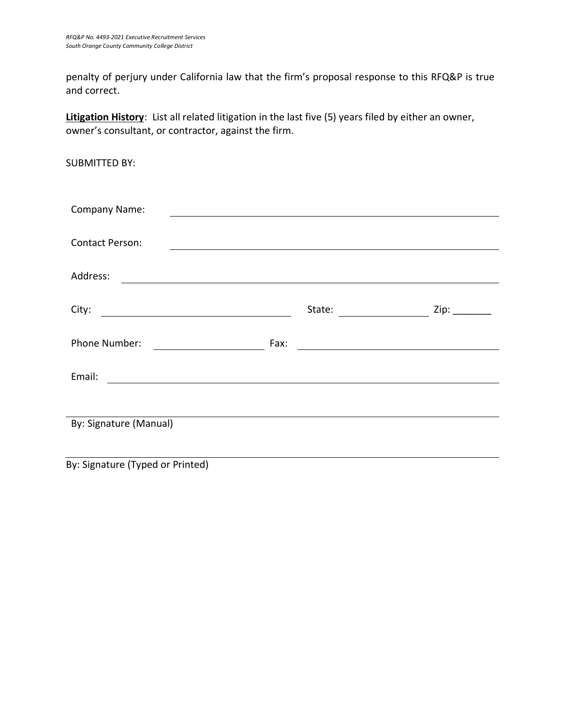SUBMITTED BY:

penalty of perjury under California law that the firm's proposal response to this RFQ&P is true and correct.

**Litigation History**: List all related litigation in the last five (5) years filed by either an owner, owner's consultant, or contractor, against the firm.

| Company Name:                                    |      |                                            |                                                                                                                                                                                                                                |
|--------------------------------------------------|------|--------------------------------------------|--------------------------------------------------------------------------------------------------------------------------------------------------------------------------------------------------------------------------------|
| <b>Contact Person:</b>                           |      |                                            |                                                                                                                                                                                                                                |
| Address:                                         |      |                                            |                                                                                                                                                                                                                                |
| City:<br><u> 1989 - Johann Barbara, martin a</u> |      | State:                                     | Zip: The contract of the contract of the contract of the contract of the contract of the contract of the contract of the contract of the contract of the contract of the contract of the contract of the contract of the contr |
| Phone Number:<br><u> Listen de la componenta</u> | Fax: | <u> 1989 - Johann John Stone, markin f</u> |                                                                                                                                                                                                                                |
| Email:                                           |      |                                            |                                                                                                                                                                                                                                |
|                                                  |      |                                            |                                                                                                                                                                                                                                |
| By: Signature (Manual)                           |      |                                            |                                                                                                                                                                                                                                |
|                                                  |      |                                            |                                                                                                                                                                                                                                |

By: Signature (Typed or Printed)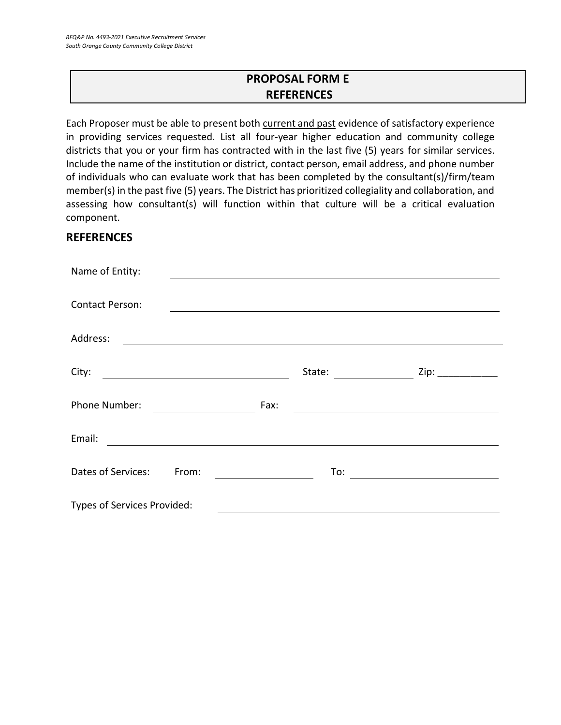### **PROPOSAL FORM E REFERENCES**

Each Proposer must be able to present both current and past evidence of satisfactory experience in providing services requested. List all four-year higher education and community college districts that you or your firm has contracted with in the last five (5) years for similar services. Include the name of the institution or district, contact person, email address, and phone number of individuals who can evaluate work that has been completed by the consultant(s)/firm/team member(s) in the past five (5) years. The District has prioritized collegiality and collaboration, and assessing how consultant(s) will function within that culture will be a critical evaluation component.

### **REFERENCES**

| Name of Entity:                                                                                                                 |                                                                                                                                                           |
|---------------------------------------------------------------------------------------------------------------------------------|-----------------------------------------------------------------------------------------------------------------------------------------------------------|
| <b>Contact Person:</b>                                                                                                          |                                                                                                                                                           |
| Address:                                                                                                                        |                                                                                                                                                           |
| City:<br><u> 1980 - Johann Barn, mars an t-Amerikaansk ferskeizh (</u>                                                          | State:<br>Zip:<br>$\begin{aligned} \mathcal{L}_{\text{max}}(\mathcal{L}_{\text{max}}) = \mathcal{L}_{\text{max}}(\mathcal{L}_{\text{max}}) \end{aligned}$ |
| Phone Number:                                                                                                                   | Fax:<br><u> 1989 - Johann Stoff, deutscher Stoff, der Stoff, der Stoff, der Stoff, der Stoff, der Stoff, der Stoff, der S</u>                             |
| Email:<br><u> 1989 - Andrea State Barbara, amerikan personal di sebagai personal di sebagai personal di sebagai personal di</u> |                                                                                                                                                           |
| Dates of Services:<br>From:                                                                                                     | To:<br><u> 1989 - Andrea Station Barbara, politik a politik (</u>                                                                                         |
| Types of Services Provided:                                                                                                     |                                                                                                                                                           |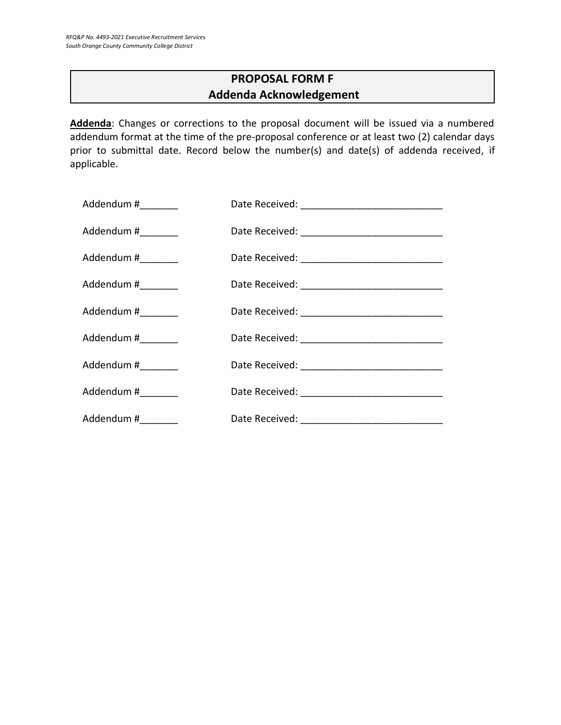### **PROPOSAL FORM F Addenda Acknowledgement**

**Addenda**: Changes or corrections to the proposal document will be issued via a numbered addendum format at the time of the pre-proposal conference or at least two (2) calendar days prior to submittal date. Record below the number(s) and date(s) of addenda received, if applicable.

| Addendum #_________ |  |
|---------------------|--|
| Addendum #_________ |  |
| Addendum #________  |  |
| Addendum #_________ |  |
| Addendum #________  |  |
| Addendum #_________ |  |
| Addendum #_________ |  |
| Addendum #________  |  |
| Addendum #_________ |  |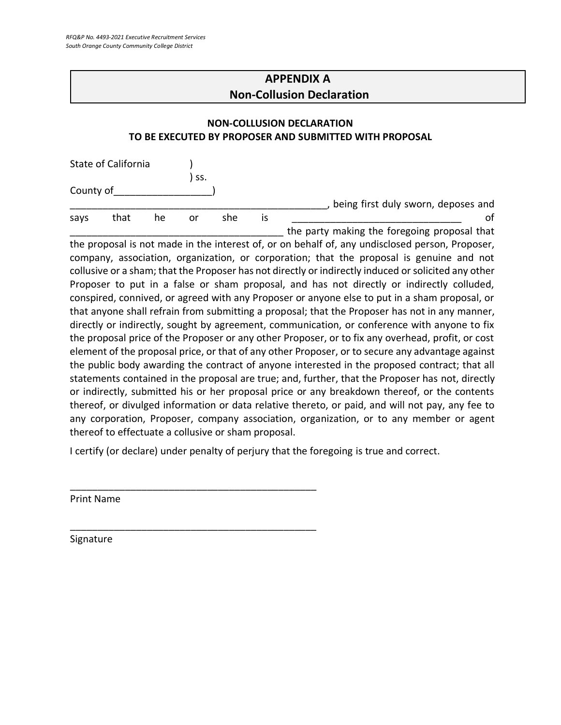### **APPENDIX A Non-Collusion Declaration**

### **NON-COLLUSION DECLARATION TO BE EXECUTED BY PROPOSER AND SUBMITTED WITH PROPOSAL**

|           | State of California |    |     |     |    |                                              |
|-----------|---------------------|----|-----|-----|----|----------------------------------------------|
|           |                     |    | SS. |     |    |                                              |
| County of |                     |    |     |     |    |                                              |
|           |                     |    |     |     |    | being first duly sworn, deposes and          |
| says      | that                | he | or  | she | IS |                                              |
|           |                     |    |     |     |    | the party making the foregoing proposal that |

the proposal is not made in the interest of, or on behalf of, any undisclosed person, Proposer, company, association, organization, or corporation; that the proposal is genuine and not collusive or a sham; that the Proposer has not directly or indirectly induced or solicited any other Proposer to put in a false or sham proposal, and has not directly or indirectly colluded, conspired, connived, or agreed with any Proposer or anyone else to put in a sham proposal, or that anyone shall refrain from submitting a proposal; that the Proposer has not in any manner, directly or indirectly, sought by agreement, communication, or conference with anyone to fix the proposal price of the Proposer or any other Proposer, or to fix any overhead, profit, or cost element of the proposal price, or that of any other Proposer, or to secure any advantage against the public body awarding the contract of anyone interested in the proposed contract; that all statements contained in the proposal are true; and, further, that the Proposer has not, directly or indirectly, submitted his or her proposal price or any breakdown thereof, or the contents thereof, or divulged information or data relative thereto, or paid, and will not pay, any fee to any corporation, Proposer, company association, organization, or to any member or agent thereof to effectuate a collusive or sham proposal.

I certify (or declare) under penalty of perjury that the foregoing is true and correct.

\_\_\_\_\_\_\_\_\_\_\_\_\_\_\_\_\_\_\_\_\_\_\_\_\_\_\_\_\_\_\_\_\_\_\_\_\_\_\_\_\_\_\_\_\_

\_\_\_\_\_\_\_\_\_\_\_\_\_\_\_\_\_\_\_\_\_\_\_\_\_\_\_\_\_\_\_\_\_\_\_\_\_\_\_\_\_\_\_\_\_

Print Name

Signature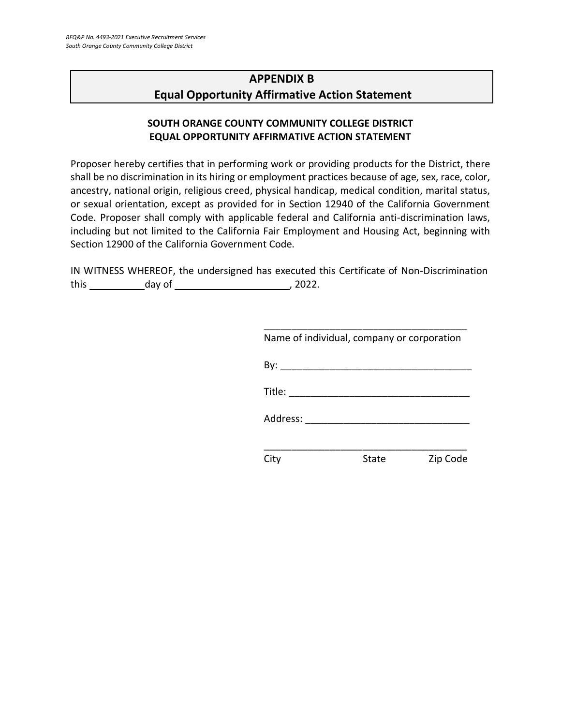### **APPENDIX B Equal Opportunity Affirmative Action Statement**

### **SOUTH ORANGE COUNTY COMMUNITY COLLEGE DISTRICT EQUAL OPPORTUNITY AFFIRMATIVE ACTION STATEMENT**

Proposer hereby certifies that in performing work or providing products for the District, there shall be no discrimination in its hiring or employment practices because of age, sex, race, color, ancestry, national origin, religious creed, physical handicap, medical condition, marital status, or sexual orientation, except as provided for in Section 12940 of the California Government Code. Proposer shall comply with applicable federal and California anti-discrimination laws, including but not limited to the California Fair Employment and Housing Act, beginning with Section 12900 of the California Government Code.

IN WITNESS WHEREOF, the undersigned has executed this Certificate of Non-Discrimination this day of , 2022.

| Name of individual, company or corporation                                                                                                                                                                                     |       |          |
|--------------------------------------------------------------------------------------------------------------------------------------------------------------------------------------------------------------------------------|-------|----------|
|                                                                                                                                                                                                                                |       |          |
| Title: $\frac{1}{\sqrt{1-\frac{1}{2}}\cdot\frac{1}{2}}$                                                                                                                                                                        |       |          |
| Address: and the state of the state of the state of the state of the state of the state of the state of the state of the state of the state of the state of the state of the state of the state of the state of the state of t |       |          |
|                                                                                                                                                                                                                                |       |          |
|                                                                                                                                                                                                                                | State | Zip Code |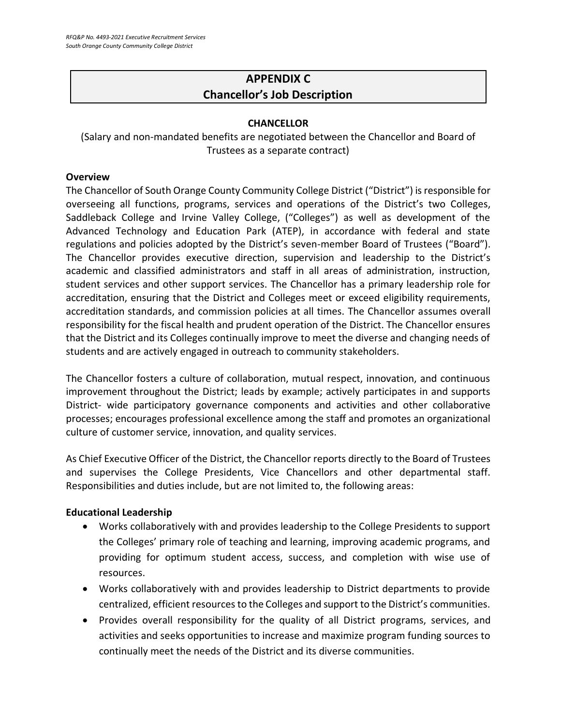### **APPENDIX C Chancellor's Job Description**

### **CHANCELLOR**

(Salary and non-mandated benefits are negotiated between the Chancellor and Board of Trustees as a separate contract)

#### **Overview**

The Chancellor of South Orange County Community College District ("District") is responsible for overseeing all functions, programs, services and operations of the District's two Colleges, Saddleback College and Irvine Valley College, ("Colleges") as well as development of the Advanced Technology and Education Park (ATEP), in accordance with federal and state regulations and policies adopted by the District's seven-member Board of Trustees ("Board"). The Chancellor provides executive direction, supervision and leadership to the District's academic and classified administrators and staff in all areas of administration, instruction, student services and other support services. The Chancellor has a primary leadership role for accreditation, ensuring that the District and Colleges meet or exceed eligibility requirements, accreditation standards, and commission policies at all times. The Chancellor assumes overall responsibility for the fiscal health and prudent operation of the District. The Chancellor ensures that the District and its Colleges continually improve to meet the diverse and changing needs of students and are actively engaged in outreach to community stakeholders.

The Chancellor fosters a culture of collaboration, mutual respect, innovation, and continuous improvement throughout the District; leads by example; actively participates in and supports District- wide participatory governance components and activities and other collaborative processes; encourages professional excellence among the staff and promotes an organizational culture of customer service, innovation, and quality services.

As Chief Executive Officer of the District, the Chancellor reports directly to the Board of Trustees and supervises the College Presidents, Vice Chancellors and other departmental staff. Responsibilities and duties include, but are not limited to, the following areas:

### **Educational Leadership**

- Works collaboratively with and provides leadership to the College Presidents to support the Colleges' primary role of teaching and learning, improving academic programs, and providing for optimum student access, success, and completion with wise use of resources.
- Works collaboratively with and provides leadership to District departments to provide centralized, efficient resources to the Colleges and support to the District's communities.
- Provides overall responsibility for the quality of all District programs, services, and activities and seeks opportunities to increase and maximize program funding sources to continually meet the needs of the District and its diverse communities.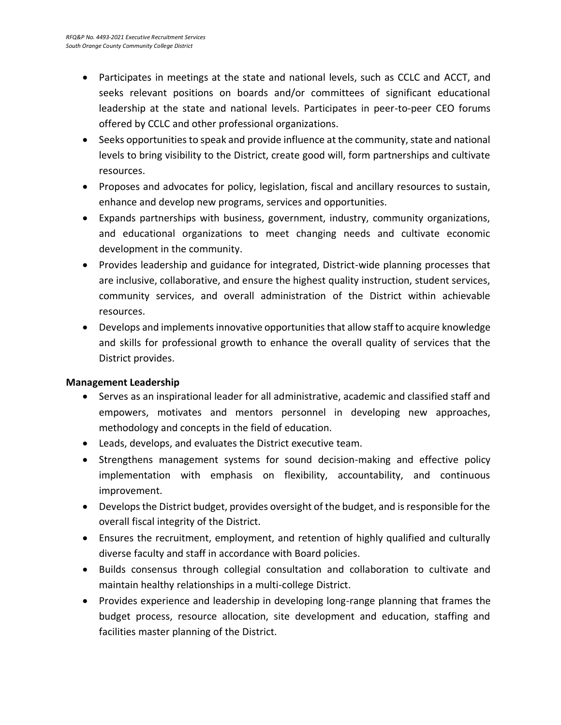- Participates in meetings at the state and national levels, such as CCLC and ACCT, and seeks relevant positions on boards and/or committees of significant educational leadership at the state and national levels. Participates in peer-to-peer CEO forums offered by CCLC and other professional organizations.
- Seeks opportunities to speak and provide influence at the community, state and national levels to bring visibility to the District, create good will, form partnerships and cultivate resources.
- Proposes and advocates for policy, legislation, fiscal and ancillary resources to sustain, enhance and develop new programs, services and opportunities.
- Expands partnerships with business, government, industry, community organizations, and educational organizations to meet changing needs and cultivate economic development in the community.
- Provides leadership and guidance for integrated, District-wide planning processes that are inclusive, collaborative, and ensure the highest quality instruction, student services, community services, and overall administration of the District within achievable resources.
- Develops and implements innovative opportunities that allow staff to acquire knowledge and skills for professional growth to enhance the overall quality of services that the District provides.

### **Management Leadership**

- Serves as an inspirational leader for all administrative, academic and classified staff and empowers, motivates and mentors personnel in developing new approaches, methodology and concepts in the field of education.
- Leads, develops, and evaluates the District executive team.
- Strengthens management systems for sound decision-making and effective policy implementation with emphasis on flexibility, accountability, and continuous improvement.
- Develops the District budget, provides oversight of the budget, and is responsible for the overall fiscal integrity of the District.
- Ensures the recruitment, employment, and retention of highly qualified and culturally diverse faculty and staff in accordance with Board policies.
- Builds consensus through collegial consultation and collaboration to cultivate and maintain healthy relationships in a multi-college District.
- Provides experience and leadership in developing long-range planning that frames the budget process, resource allocation, site development and education, staffing and facilities master planning of the District.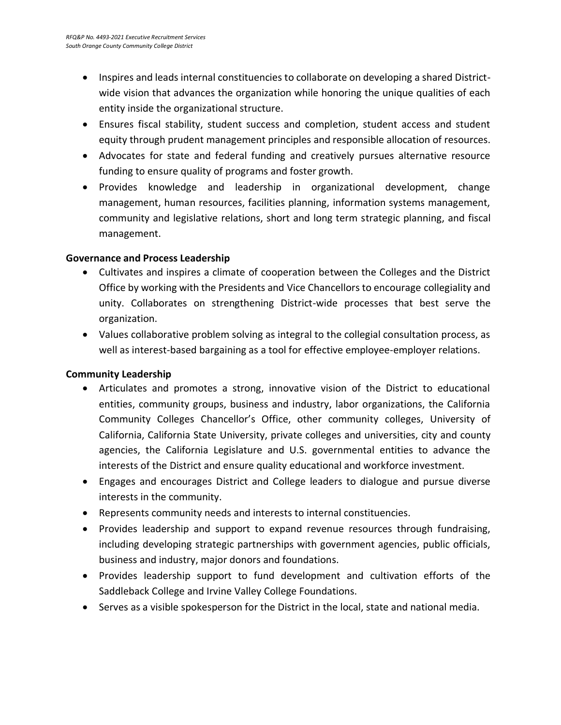- Inspires and leads internal constituencies to collaborate on developing a shared Districtwide vision that advances the organization while honoring the unique qualities of each entity inside the organizational structure.
- Ensures fiscal stability, student success and completion, student access and student equity through prudent management principles and responsible allocation of resources.
- Advocates for state and federal funding and creatively pursues alternative resource funding to ensure quality of programs and foster growth.
- Provides knowledge and leadership in organizational development, change management, human resources, facilities planning, information systems management, community and legislative relations, short and long term strategic planning, and fiscal management.

### **Governance and Process Leadership**

- Cultivates and inspires a climate of cooperation between the Colleges and the District Office by working with the Presidents and Vice Chancellors to encourage collegiality and unity. Collaborates on strengthening District-wide processes that best serve the organization.
- Values collaborative problem solving as integral to the collegial consultation process, as well as interest-based bargaining as a tool for effective employee-employer relations.

### **Community Leadership**

- Articulates and promotes a strong, innovative vision of the District to educational entities, community groups, business and industry, labor organizations, the California Community Colleges Chancellor's Office, other community colleges, University of California, California State University, private colleges and universities, city and county agencies, the California Legislature and U.S. governmental entities to advance the interests of the District and ensure quality educational and workforce investment.
- Engages and encourages District and College leaders to dialogue and pursue diverse interests in the community.
- Represents community needs and interests to internal constituencies.
- Provides leadership and support to expand revenue resources through fundraising, including developing strategic partnerships with government agencies, public officials, business and industry, major donors and foundations.
- Provides leadership support to fund development and cultivation efforts of the Saddleback College and Irvine Valley College Foundations.
- Serves as a visible spokesperson for the District in the local, state and national media.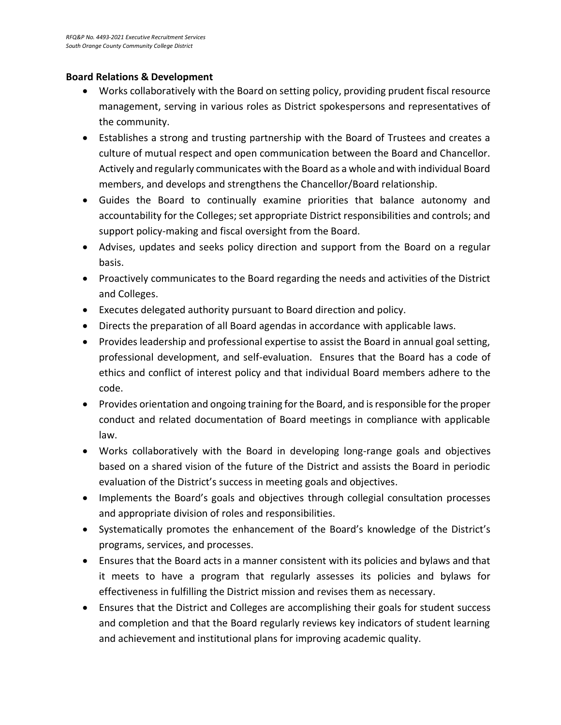### **Board Relations & Development**

- Works collaboratively with the Board on setting policy, providing prudent fiscal resource management, serving in various roles as District spokespersons and representatives of the community.
- Establishes a strong and trusting partnership with the Board of Trustees and creates a culture of mutual respect and open communication between the Board and Chancellor. Actively and regularly communicates with the Board as a whole and with individual Board members, and develops and strengthens the Chancellor/Board relationship.
- Guides the Board to continually examine priorities that balance autonomy and accountability for the Colleges; set appropriate District responsibilities and controls; and support policy-making and fiscal oversight from the Board.
- Advises, updates and seeks policy direction and support from the Board on a regular basis.
- Proactively communicates to the Board regarding the needs and activities of the District and Colleges.
- Executes delegated authority pursuant to Board direction and policy.
- Directs the preparation of all Board agendas in accordance with applicable laws.
- Provides leadership and professional expertise to assist the Board in annual goal setting, professional development, and self-evaluation. Ensures that the Board has a code of ethics and conflict of interest policy and that individual Board members adhere to the code.
- Provides orientation and ongoing training for the Board, and is responsible for the proper conduct and related documentation of Board meetings in compliance with applicable law.
- Works collaboratively with the Board in developing long-range goals and objectives based on a shared vision of the future of the District and assists the Board in periodic evaluation of the District's success in meeting goals and objectives.
- Implements the Board's goals and objectives through collegial consultation processes and appropriate division of roles and responsibilities.
- Systematically promotes the enhancement of the Board's knowledge of the District's programs, services, and processes.
- Ensures that the Board acts in a manner consistent with its policies and bylaws and that it meets to have a program that regularly assesses its policies and bylaws for effectiveness in fulfilling the District mission and revises them as necessary.
- Ensures that the District and Colleges are accomplishing their goals for student success and completion and that the Board regularly reviews key indicators of student learning and achievement and institutional plans for improving academic quality.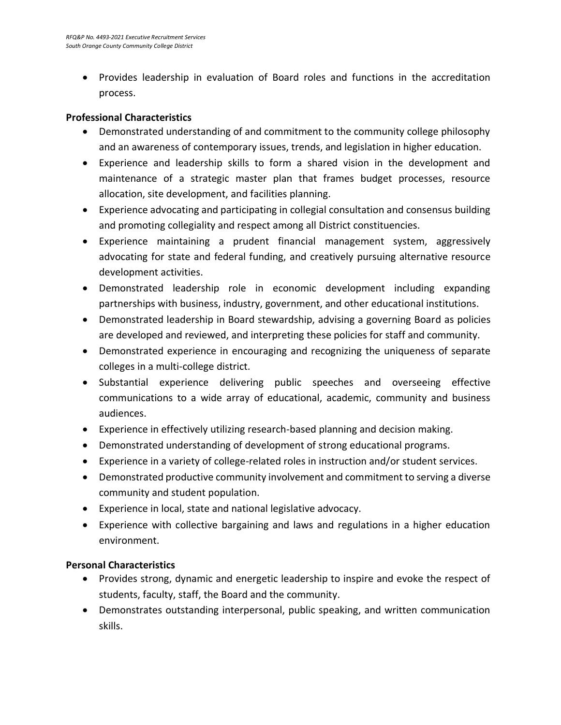• Provides leadership in evaluation of Board roles and functions in the accreditation process.

### **Professional Characteristics**

- Demonstrated understanding of and commitment to the community college philosophy and an awareness of contemporary issues, trends, and legislation in higher education.
- Experience and leadership skills to form a shared vision in the development and maintenance of a strategic master plan that frames budget processes, resource allocation, site development, and facilities planning.
- Experience advocating and participating in collegial consultation and consensus building and promoting collegiality and respect among all District constituencies.
- Experience maintaining a prudent financial management system, aggressively advocating for state and federal funding, and creatively pursuing alternative resource development activities.
- Demonstrated leadership role in economic development including expanding partnerships with business, industry, government, and other educational institutions.
- Demonstrated leadership in Board stewardship, advising a governing Board as policies are developed and reviewed, and interpreting these policies for staff and community.
- Demonstrated experience in encouraging and recognizing the uniqueness of separate colleges in a multi-college district.
- Substantial experience delivering public speeches and overseeing effective communications to a wide array of educational, academic, community and business audiences.
- Experience in effectively utilizing research-based planning and decision making.
- Demonstrated understanding of development of strong educational programs.
- Experience in a variety of college-related roles in instruction and/or student services.
- Demonstrated productive community involvement and commitment to serving a diverse community and student population.
- Experience in local, state and national legislative advocacy.
- Experience with collective bargaining and laws and regulations in a higher education environment.

### **Personal Characteristics**

- Provides strong, dynamic and energetic leadership to inspire and evoke the respect of students, faculty, staff, the Board and the community.
- Demonstrates outstanding interpersonal, public speaking, and written communication skills.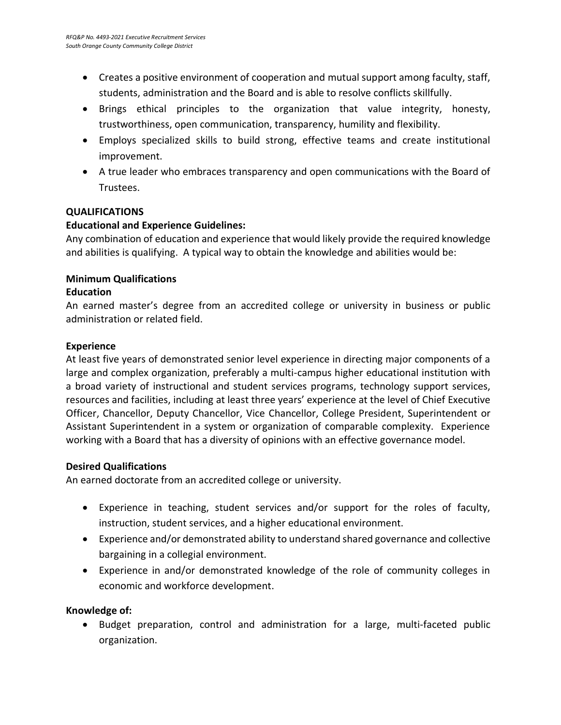- Creates a positive environment of cooperation and mutual support among faculty, staff, students, administration and the Board and is able to resolve conflicts skillfully.
- Brings ethical principles to the organization that value integrity, honesty, trustworthiness, open communication, transparency, humility and flexibility.
- Employs specialized skills to build strong, effective teams and create institutional improvement.
- A true leader who embraces transparency and open communications with the Board of Trustees.

### **QUALIFICATIONS**

### **Educational and Experience Guidelines:**

Any combination of education and experience that would likely provide the required knowledge and abilities is qualifying. A typical way to obtain the knowledge and abilities would be:

### **Minimum Qualifications**

### **Education**

An earned master's degree from an accredited college or university in business or public administration or related field.

### **Experience**

At least five years of demonstrated senior level experience in directing major components of a large and complex organization, preferably a multi-campus higher educational institution with a broad variety of instructional and student services programs, technology support services, resources and facilities, including at least three years' experience at the level of Chief Executive Officer, Chancellor, Deputy Chancellor, Vice Chancellor, College President, Superintendent or Assistant Superintendent in a system or organization of comparable complexity. Experience working with a Board that has a diversity of opinions with an effective governance model.

### **Desired Qualifications**

An earned doctorate from an accredited college or university.

- Experience in teaching, student services and/or support for the roles of faculty, instruction, student services, and a higher educational environment.
- Experience and/or demonstrated ability to understand shared governance and collective bargaining in a collegial environment.
- Experience in and/or demonstrated knowledge of the role of community colleges in economic and workforce development.

### **Knowledge of:**

• Budget preparation, control and administration for a large, multi-faceted public organization.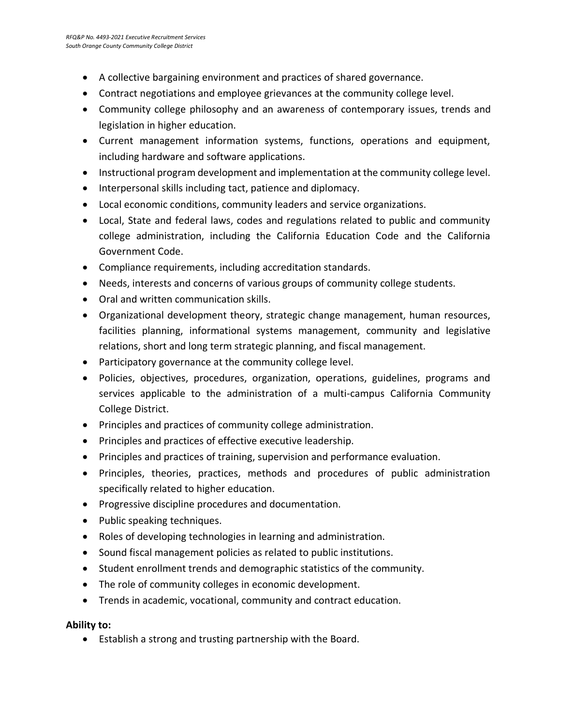- A collective bargaining environment and practices of shared governance.
- Contract negotiations and employee grievances at the community college level.
- Community college philosophy and an awareness of contemporary issues, trends and legislation in higher education.
- Current management information systems, functions, operations and equipment, including hardware and software applications.
- Instructional program development and implementation at the community college level.
- Interpersonal skills including tact, patience and diplomacy.
- Local economic conditions, community leaders and service organizations.
- Local, State and federal laws, codes and regulations related to public and community college administration, including the California Education Code and the California Government Code.
- Compliance requirements, including accreditation standards.
- Needs, interests and concerns of various groups of community college students.
- Oral and written communication skills.
- Organizational development theory, strategic change management, human resources, facilities planning, informational systems management, community and legislative relations, short and long term strategic planning, and fiscal management.
- Participatory governance at the community college level.
- Policies, objectives, procedures, organization, operations, guidelines, programs and services applicable to the administration of a multi-campus California Community College District.
- Principles and practices of community college administration.
- Principles and practices of effective executive leadership.
- Principles and practices of training, supervision and performance evaluation.
- Principles, theories, practices, methods and procedures of public administration specifically related to higher education.
- Progressive discipline procedures and documentation.
- Public speaking techniques.
- Roles of developing technologies in learning and administration.
- Sound fiscal management policies as related to public institutions.
- Student enrollment trends and demographic statistics of the community.
- The role of community colleges in economic development.
- Trends in academic, vocational, community and contract education.

### **Ability to:**

• Establish a strong and trusting partnership with the Board.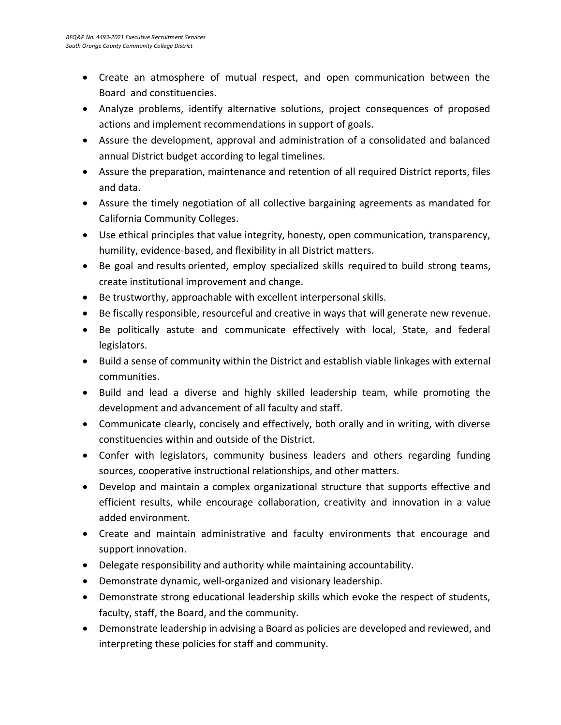- Create an atmosphere of mutual respect, and open communication between the Board and constituencies.
- Analyze problems, identify alternative solutions, project consequences of proposed actions and implement recommendations in support of goals.
- Assure the development, approval and administration of a consolidated and balanced annual District budget according to legal timelines.
- Assure the preparation, maintenance and retention of all required District reports, files and data.
- Assure the timely negotiation of all collective bargaining agreements as mandated for California Community Colleges.
- Use ethical principles that value integrity, honesty, open communication, transparency, humility, evidence-based, and flexibility in all District matters.
- Be goal and results oriented, employ specialized skills required to build strong teams, create institutional improvement and change.
- Be trustworthy, approachable with excellent interpersonal skills.
- Be fiscally responsible, resourceful and creative in ways that will generate new revenue.
- Be politically astute and communicate effectively with local, State, and federal legislators.
- Build a sense of community within the District and establish viable linkages with external communities.
- Build and lead a diverse and highly skilled leadership team, while promoting the development and advancement of all faculty and staff.
- Communicate clearly, concisely and effectively, both orally and in writing, with diverse constituencies within and outside of the District.
- Confer with legislators, community business leaders and others regarding funding sources, cooperative instructional relationships, and other matters.
- Develop and maintain a complex organizational structure that supports effective and efficient results, while encourage collaboration, creativity and innovation in a value added environment.
- Create and maintain administrative and faculty environments that encourage and support innovation.
- Delegate responsibility and authority while maintaining accountability.
- Demonstrate dynamic, well-organized and visionary leadership.
- Demonstrate strong educational leadership skills which evoke the respect of students, faculty, staff, the Board, and the community.
- Demonstrate leadership in advising a Board as policies are developed and reviewed, and interpreting these policies for staff and community.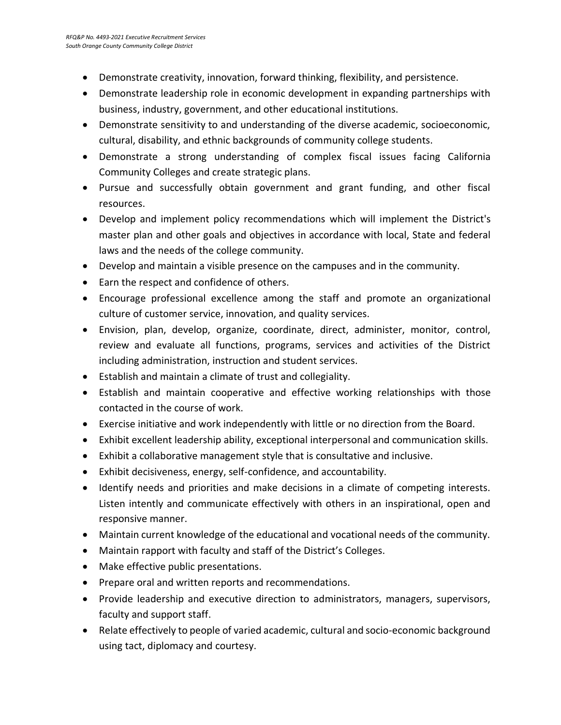- Demonstrate creativity, innovation, forward thinking, flexibility, and persistence.
- Demonstrate leadership role in economic development in expanding partnerships with business, industry, government, and other educational institutions.
- Demonstrate sensitivity to and understanding of the diverse academic, socioeconomic, cultural, disability, and ethnic backgrounds of community college students.
- Demonstrate a strong understanding of complex fiscal issues facing California Community Colleges and create strategic plans.
- Pursue and successfully obtain government and grant funding, and other fiscal resources.
- Develop and implement policy recommendations which will implement the District's master plan and other goals and objectives in accordance with local, State and federal laws and the needs of the college community.
- Develop and maintain a visible presence on the campuses and in the community.
- Earn the respect and confidence of others.
- Encourage professional excellence among the staff and promote an organizational culture of customer service, innovation, and quality services.
- Envision, plan, develop, organize, coordinate, direct, administer, monitor, control, review and evaluate all functions, programs, services and activities of the District including administration, instruction and student services.
- Establish and maintain a climate of trust and collegiality.
- Establish and maintain cooperative and effective working relationships with those contacted in the course of work.
- Exercise initiative and work independently with little or no direction from the Board.
- Exhibit excellent leadership ability, exceptional interpersonal and communication skills.
- Exhibit a collaborative management style that is consultative and inclusive.
- Exhibit decisiveness, energy, self-confidence, and accountability.
- Identify needs and priorities and make decisions in a climate of competing interests. Listen intently and communicate effectively with others in an inspirational, open and responsive manner.
- Maintain current knowledge of the educational and vocational needs of the community.
- Maintain rapport with faculty and staff of the District's Colleges.
- Make effective public presentations.
- Prepare oral and written reports and recommendations.
- Provide leadership and executive direction to administrators, managers, supervisors, faculty and support staff.
- Relate effectively to people of varied academic, cultural and socio-economic background using tact, diplomacy and courtesy.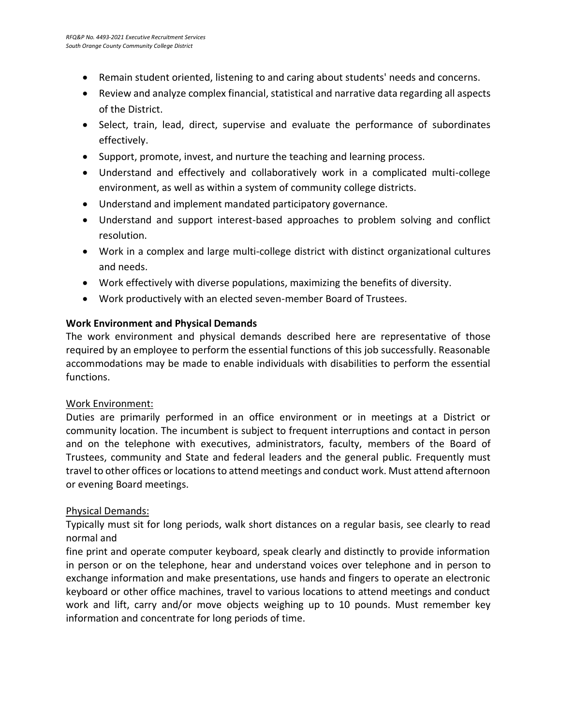- Remain student oriented, listening to and caring about students' needs and concerns.
- Review and analyze complex financial, statistical and narrative data regarding all aspects of the District.
- Select, train, lead, direct, supervise and evaluate the performance of subordinates effectively.
- Support, promote, invest, and nurture the teaching and learning process.
- Understand and effectively and collaboratively work in a complicated multi-college environment, as well as within a system of community college districts.
- Understand and implement mandated participatory governance.
- Understand and support interest-based approaches to problem solving and conflict resolution.
- Work in a complex and large multi-college district with distinct organizational cultures and needs.
- Work effectively with diverse populations, maximizing the benefits of diversity.
- Work productively with an elected seven-member Board of Trustees.

### **Work Environment and Physical Demands**

The work environment and physical demands described here are representative of those required by an employee to perform the essential functions of this job successfully. Reasonable accommodations may be made to enable individuals with disabilities to perform the essential functions.

### Work Environment:

Duties are primarily performed in an office environment or in meetings at a District or community location. The incumbent is subject to frequent interruptions and contact in person and on the telephone with executives, administrators, faculty, members of the Board of Trustees, community and State and federal leaders and the general public. Frequently must travel to other offices or locations to attend meetings and conduct work. Must attend afternoon or evening Board meetings.

### Physical Demands:

Typically must sit for long periods, walk short distances on a regular basis, see clearly to read normal and

fine print and operate computer keyboard, speak clearly and distinctly to provide information in person or on the telephone, hear and understand voices over telephone and in person to exchange information and make presentations, use hands and fingers to operate an electronic keyboard or other office machines, travel to various locations to attend meetings and conduct work and lift, carry and/or move objects weighing up to 10 pounds. Must remember key information and concentrate for long periods of time.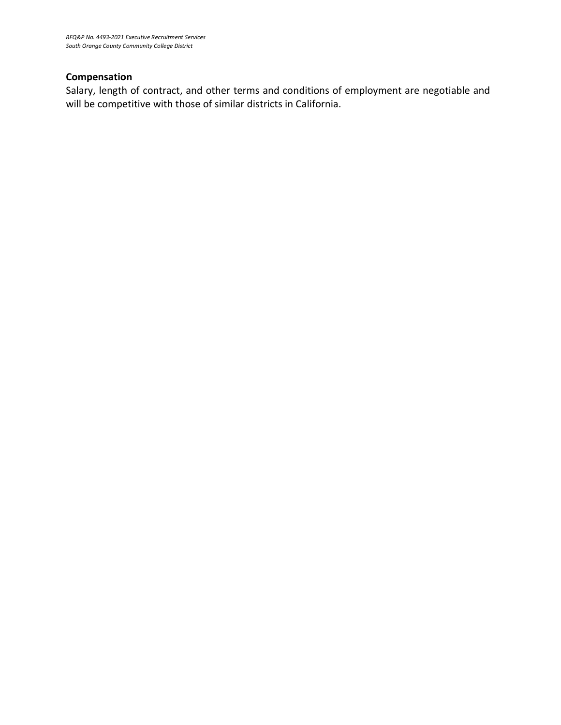### **Compensation**

Salary, length of contract, and other terms and conditions of employment are negotiable and will be competitive with those of similar districts in California.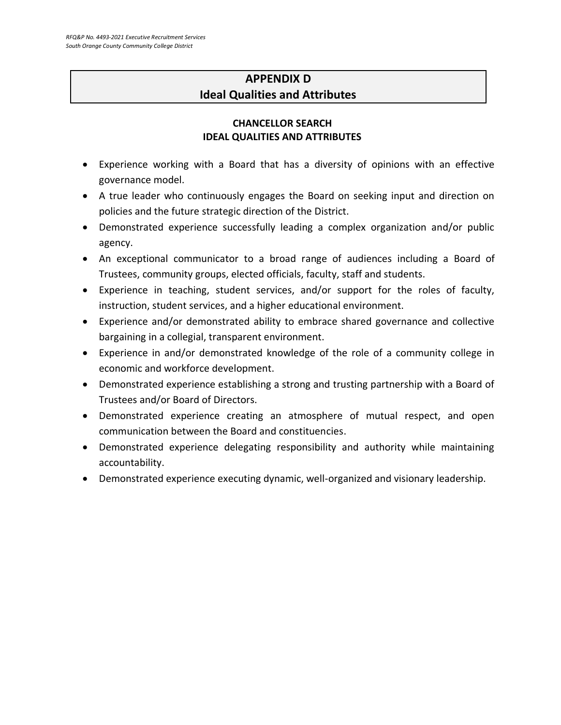### **APPENDIX D Ideal Qualities and Attributes**

### **CHANCELLOR SEARCH IDEAL QUALITIES AND ATTRIBUTES**

- Experience working with a Board that has a diversity of opinions with an effective governance model.
- A true leader who continuously engages the Board on seeking input and direction on policies and the future strategic direction of the District.
- Demonstrated experience successfully leading a complex organization and/or public agency.
- An exceptional communicator to a broad range of audiences including a Board of Trustees, community groups, elected officials, faculty, staff and students.
- Experience in teaching, student services, and/or support for the roles of faculty, instruction, student services, and a higher educational environment.
- Experience and/or demonstrated ability to embrace shared governance and collective bargaining in a collegial, transparent environment.
- Experience in and/or demonstrated knowledge of the role of a community college in economic and workforce development.
- Demonstrated experience establishing a strong and trusting partnership with a Board of Trustees and/or Board of Directors.
- Demonstrated experience creating an atmosphere of mutual respect, and open communication between the Board and constituencies.
- Demonstrated experience delegating responsibility and authority while maintaining accountability.
- Demonstrated experience executing dynamic, well-organized and visionary leadership.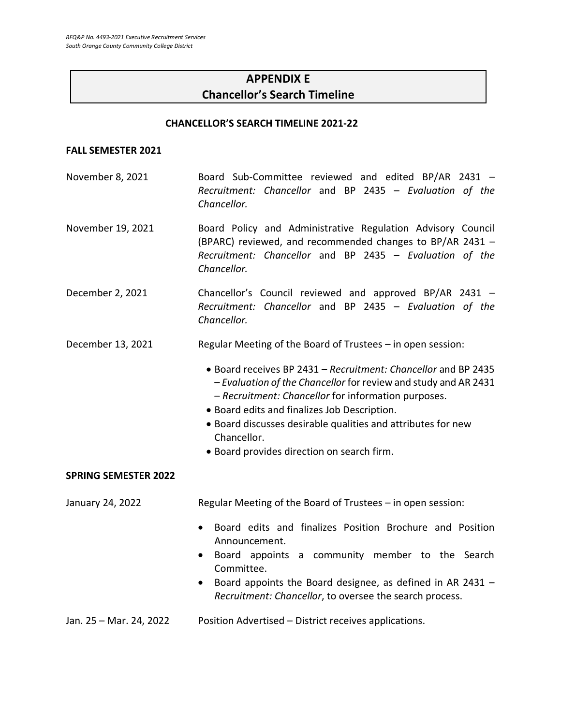### **APPENDIX E Chancellor's Search Timeline**

#### **CHANCELLOR'S SEARCH TIMELINE 2021-22**

#### **FALL SEMESTER 2021**

- November 8, 2021 Board Sub-Committee reviewed and edited BP/AR 2431 *Recruitment: Chancellor* and BP 2435 – *Evaluation of the Chancellor.*
- November 19, 2021 Board Policy and Administrative Regulation Advisory Council (BPARC) reviewed, and recommended changes to BP/AR 2431 – *Recruitment: Chancellor* and BP 2435 – *Evaluation of the Chancellor.*
- December 2, 2021 Chancellor's Council reviewed and approved BP/AR 2431 *Recruitment: Chancellor* and BP 2435 – *Evaluation of the Chancellor.*
- December 13, 2021 Regular Meeting of the Board of Trustees in open session:
	- Board receives BP 2431 *Recruitment: Chancellor* and BP 2435 – *Evaluation of the Chancellor* for review and study and AR 2431 – *Recruitment: Chancellor* for information purposes.
	- Board edits and finalizes Job Description.
	- Board discusses desirable qualities and attributes for new Chancellor.
	- Board provides direction on search firm.

#### **SPRING SEMESTER 2022**

January 24, 2022 Regular Meeting of the Board of Trustees – in open session:

- Board edits and finalizes Position Brochure and Position Announcement.
- Board appoints a community member to the Search Committee.
- Board appoints the Board designee, as defined in AR 2431 *Recruitment: Chancellor*, to oversee the search process.
- Jan. 25 Mar. 24, 2022 Position Advertised District receives applications.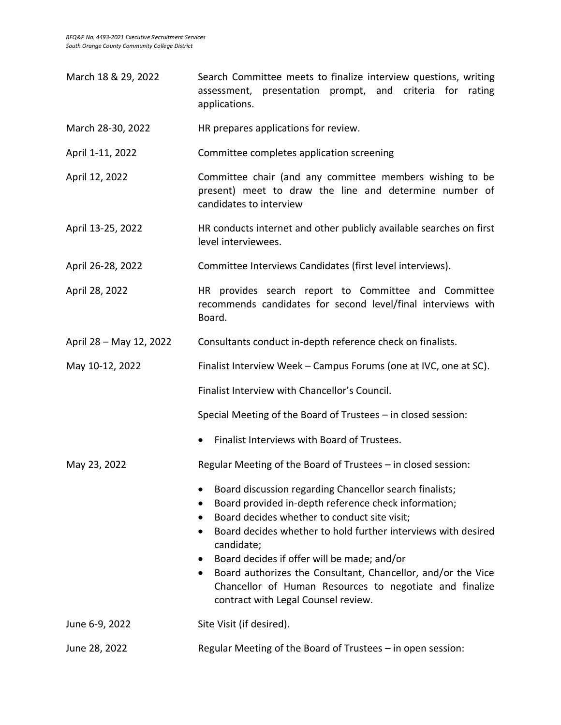| March 18 & 29, 2022     | Search Committee meets to finalize interview questions, writing<br>assessment, presentation prompt, and criteria for rating<br>applications.                                                                                                                                                                                                                                                                                                                                                           |
|-------------------------|--------------------------------------------------------------------------------------------------------------------------------------------------------------------------------------------------------------------------------------------------------------------------------------------------------------------------------------------------------------------------------------------------------------------------------------------------------------------------------------------------------|
| March 28-30, 2022       | HR prepares applications for review.                                                                                                                                                                                                                                                                                                                                                                                                                                                                   |
| April 1-11, 2022        | Committee completes application screening                                                                                                                                                                                                                                                                                                                                                                                                                                                              |
| April 12, 2022          | Committee chair (and any committee members wishing to be<br>present) meet to draw the line and determine number of<br>candidates to interview                                                                                                                                                                                                                                                                                                                                                          |
| April 13-25, 2022       | HR conducts internet and other publicly available searches on first<br>level interviewees.                                                                                                                                                                                                                                                                                                                                                                                                             |
| April 26-28, 2022       | Committee Interviews Candidates (first level interviews).                                                                                                                                                                                                                                                                                                                                                                                                                                              |
| April 28, 2022          | HR provides search report to Committee and Committee<br>recommends candidates for second level/final interviews with<br>Board.                                                                                                                                                                                                                                                                                                                                                                         |
| April 28 - May 12, 2022 | Consultants conduct in-depth reference check on finalists.                                                                                                                                                                                                                                                                                                                                                                                                                                             |
| May 10-12, 2022         | Finalist Interview Week - Campus Forums (one at IVC, one at SC).                                                                                                                                                                                                                                                                                                                                                                                                                                       |
|                         | Finalist Interview with Chancellor's Council.                                                                                                                                                                                                                                                                                                                                                                                                                                                          |
|                         | Special Meeting of the Board of Trustees - in closed session:                                                                                                                                                                                                                                                                                                                                                                                                                                          |
|                         | Finalist Interviews with Board of Trustees.<br>$\bullet$                                                                                                                                                                                                                                                                                                                                                                                                                                               |
| May 23, 2022            | Regular Meeting of the Board of Trustees - in closed session:                                                                                                                                                                                                                                                                                                                                                                                                                                          |
|                         | Board discussion regarding Chancellor search finalists;<br>Board provided in-depth reference check information;<br>Board decides whether to conduct site visit;<br>Board decides whether to hold further interviews with desired<br>$\bullet$<br>candidate;<br>Board decides if offer will be made; and/or<br>$\bullet$<br>Board authorizes the Consultant, Chancellor, and/or the Vice<br>$\bullet$<br>Chancellor of Human Resources to negotiate and finalize<br>contract with Legal Counsel review. |
| June 6-9, 2022          | Site Visit (if desired).                                                                                                                                                                                                                                                                                                                                                                                                                                                                               |
| June 28, 2022           | Regular Meeting of the Board of Trustees - in open session:                                                                                                                                                                                                                                                                                                                                                                                                                                            |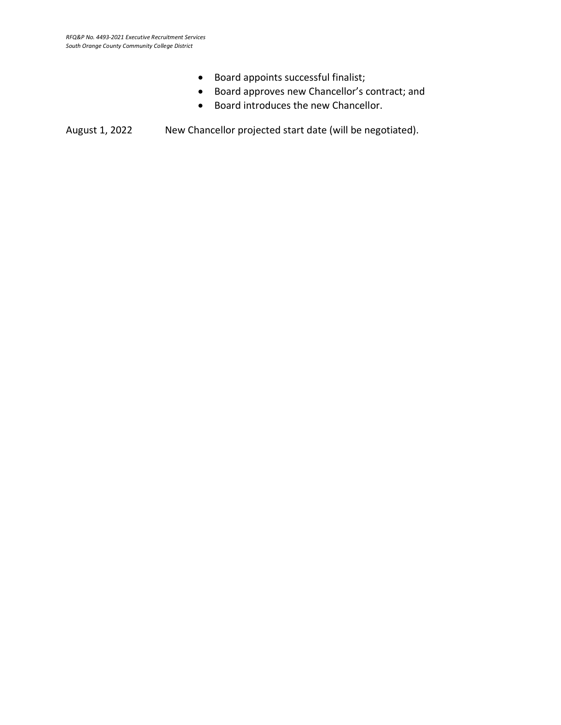- Board appoints successful finalist;
- Board approves new Chancellor's contract; and
- Board introduces the new Chancellor.

August 1, 2022 New Chancellor projected start date (will be negotiated).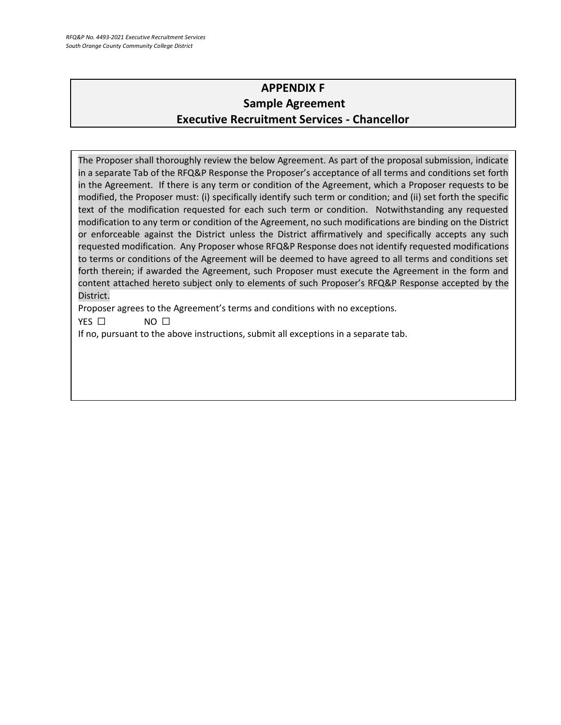### **APPENDIX F Sample Agreement Executive Recruitment Services - Chancellor**

The Proposer shall thoroughly review the below Agreement. As part of the proposal submission, indicate in a separate Tab of the RFQ&P Response the Proposer's acceptance of all terms and conditions set forth in the Agreement. If there is any term or condition of the Agreement, which a Proposer requests to be modified, the Proposer must: (i) specifically identify such term or condition; and (ii) set forth the specific text of the modification requested for each such term or condition. Notwithstanding any requested modification to any term or condition of the Agreement, no such modifications are binding on the District or enforceable against the District unless the District affirmatively and specifically accepts any such requested modification. Any Proposer whose RFQ&P Response does not identify requested modifications to terms or conditions of the Agreement will be deemed to have agreed to all terms and conditions set forth therein; if awarded the Agreement, such Proposer must execute the Agreement in the form and content attached hereto subject only to elements of such Proposer's RFQ&P Response accepted by the District.

Proposer agrees to the Agreement's terms and conditions with no exceptions.

YES □ NO □

If no, pursuant to the above instructions, submit all exceptions in a separate tab.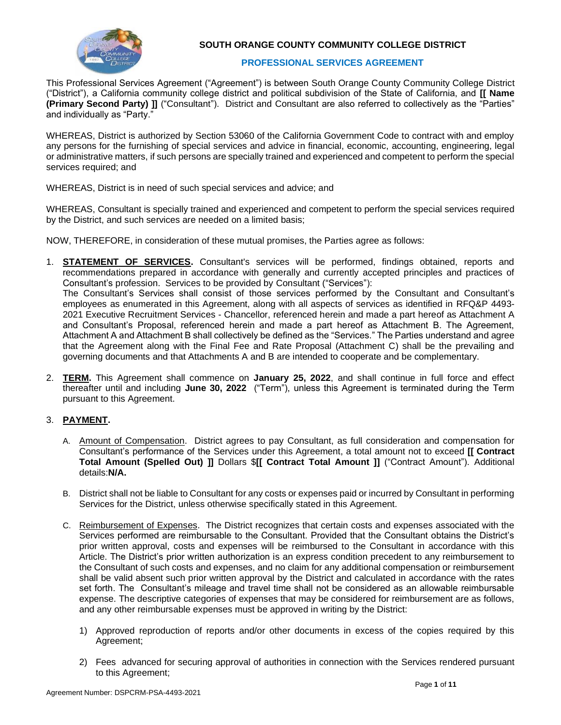

#### **SOUTH ORANGE COUNTY COMMUNITY COLLEGE DISTRICT**

#### **PROFESSIONAL SERVICES AGREEMENT**

This Professional Services Agreement ("Agreement") is between South Orange County Community College District ("District"), a California community college district and political subdivision of the State of California, and **[[ Name (Primary Second Party) ]]** ("Consultant"). District and Consultant are also referred to collectively as the "Parties" and individually as "Party."

WHEREAS, District is authorized by Section 53060 of the California Government Code to contract with and employ any persons for the furnishing of special services and advice in financial, economic, accounting, engineering, legal or administrative matters, if such persons are specially trained and experienced and competent to perform the special services required; and

WHEREAS, District is in need of such special services and advice; and

WHEREAS, Consultant is specially trained and experienced and competent to perform the special services required by the District, and such services are needed on a limited basis;

NOW, THEREFORE, in consideration of these mutual promises, the Parties agree as follows:

- 1. **STATEMENT OF SERVICES.** Consultant's services will be performed, findings obtained, reports and recommendations prepared in accordance with generally and currently accepted principles and practices of Consultant's profession. Services to be provided by Consultant ("Services"): The Consultant's Services shall consist of those services performed by the Consultant and Consultant's employees as enumerated in this Agreement, along with all aspects of services as identified in RFQ&P 4493- 2021 Executive Recruitment Services - Chancellor, referenced herein and made a part hereof as Attachment A and Consultant's Proposal, referenced herein and made a part hereof as Attachment B. The Agreement, Attachment A and Attachment B shall collectively be defined as the "Services." The Parties understand and agree that the Agreement along with the Final Fee and Rate Proposal (Attachment C) shall be the prevailing and governing documents and that Attachments A and B are intended to cooperate and be complementary.
- 2. **TERM.** This Agreement shall commence on **January 25, 2022**, and shall continue in full force and effect thereafter until and including **June 30, 2022** ("Term"), unless this Agreement is terminated during the Term pursuant to this Agreement.

#### 3. **PAYMENT.**

- A. Amount of Compensation. District agrees to pay Consultant, as full consideration and compensation for Consultant's performance of the Services under this Agreement, a total amount not to exceed **[[ Contract Total Amount (Spelled Out) ]]** Dollars \$**[[ Contract Total Amount ]]** ("Contract Amount"). Additional details:**N/A.**
- B. District shall not be liable to Consultant for any costs or expenses paid or incurred by Consultant in performing Services for the District, unless otherwise specifically stated in this Agreement.
- C. Reimbursement of Expenses. The District recognizes that certain costs and expenses associated with the Services performed are reimbursable to the Consultant. Provided that the Consultant obtains the District's prior written approval, costs and expenses will be reimbursed to the Consultant in accordance with this Article. The District's prior written authorization is an express condition precedent to any reimbursement to the Consultant of such costs and expenses, and no claim for any additional compensation or reimbursement shall be valid absent such prior written approval by the District and calculated in accordance with the rates set forth. The Consultant's mileage and travel time shall not be considered as an allowable reimbursable expense. The descriptive categories of expenses that may be considered for reimbursement are as follows, and any other reimbursable expenses must be approved in writing by the District:
	- 1) Approved reproduction of reports and/or other documents in excess of the copies required by this Agreement;
	- 2) Fees advanced for securing approval of authorities in connection with the Services rendered pursuant to this Agreement;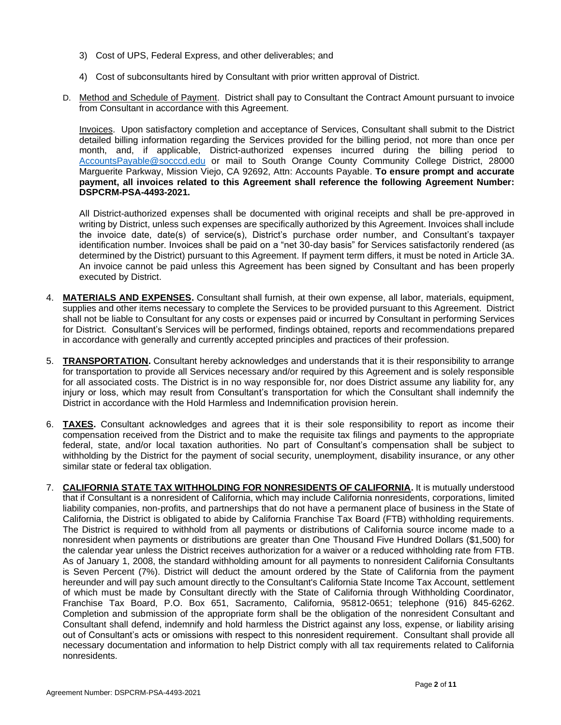- 3) Cost of UPS, Federal Express, and other deliverables; and
- 4) Cost of subconsultants hired by Consultant with prior written approval of District.
- D. Method and Schedule of Payment. District shall pay to Consultant the Contract Amount pursuant to invoice from Consultant in accordance with this Agreement.

Invoices. Upon satisfactory completion and acceptance of Services, Consultant shall submit to the District detailed billing information regarding the Services provided for the billing period, not more than once per month, and, if applicable, District-authorized expenses incurred during the billing period to [AccountsPayable@socccd.edu](mailto:AccountsPayable@socccd.edu) or mail to South Orange County Community College District, 28000 Marguerite Parkway, Mission Viejo, CA 92692, Attn: Accounts Payable. **To ensure prompt and accurate payment, all invoices related to this Agreement shall reference the following Agreement Number: DSPCRM-PSA-4493-2021.**

All District-authorized expenses shall be documented with original receipts and shall be pre-approved in writing by District, unless such expenses are specifically authorized by this Agreement. Invoices shall include the invoice date, date(s) of service(s), District's purchase order number, and Consultant's taxpayer identification number. Invoices shall be paid on a "net 30-day basis" for Services satisfactorily rendered (as determined by the District) pursuant to this Agreement. If payment term differs, it must be noted in Article 3A. An invoice cannot be paid unless this Agreement has been signed by Consultant and has been properly executed by District.

- 4. **MATERIALS AND EXPENSES.** Consultant shall furnish, at their own expense, all labor, materials, equipment, supplies and other items necessary to complete the Services to be provided pursuant to this Agreement. District shall not be liable to Consultant for any costs or expenses paid or incurred by Consultant in performing Services for District. Consultant's Services will be performed, findings obtained, reports and recommendations prepared in accordance with generally and currently accepted principles and practices of their profession.
- 5. **TRANSPORTATION.** Consultant hereby acknowledges and understands that it is their responsibility to arrange for transportation to provide all Services necessary and/or required by this Agreement and is solely responsible for all associated costs. The District is in no way responsible for, nor does District assume any liability for, any injury or loss, which may result from Consultant's transportation for which the Consultant shall indemnify the District in accordance with the Hold Harmless and Indemnification provision herein.
- 6. **TAXES.** Consultant acknowledges and agrees that it is their sole responsibility to report as income their compensation received from the District and to make the requisite tax filings and payments to the appropriate federal, state, and/or local taxation authorities. No part of Consultant's compensation shall be subject to withholding by the District for the payment of social security, unemployment, disability insurance, or any other similar state or federal tax obligation.
- 7. **CALIFORNIA STATE TAX WITHHOLDING FOR NONRESIDENTS OF CALIFORNIA.** It is mutually understood that if Consultant is a nonresident of California, which may include California nonresidents, corporations, limited liability companies, non-profits, and partnerships that do not have a permanent place of business in the State of California, the District is obligated to abide by California Franchise Tax Board (FTB) withholding requirements. The District is required to withhold from all payments or distributions of California source income made to a nonresident when payments or distributions are greater than One Thousand Five Hundred Dollars (\$1,500) for the calendar year unless the District receives authorization for a waiver or a reduced withholding rate from FTB. As of January 1, 2008, the standard withholding amount for all payments to nonresident California Consultants is Seven Percent (7%). District will deduct the amount ordered by the State of California from the payment hereunder and will pay such amount directly to the Consultant's California State Income Tax Account, settlement of which must be made by Consultant directly with the State of California through Withholding Coordinator, Franchise Tax Board, P.O. Box 651, Sacramento, California, 95812-0651; telephone (916) 845-6262. Completion and submission of the appropriate form shall be the obligation of the nonresident Consultant and Consultant shall defend, indemnify and hold harmless the District against any loss, expense, or liability arising out of Consultant's acts or omissions with respect to this nonresident requirement. Consultant shall provide all necessary documentation and information to help District comply with all tax requirements related to California nonresidents.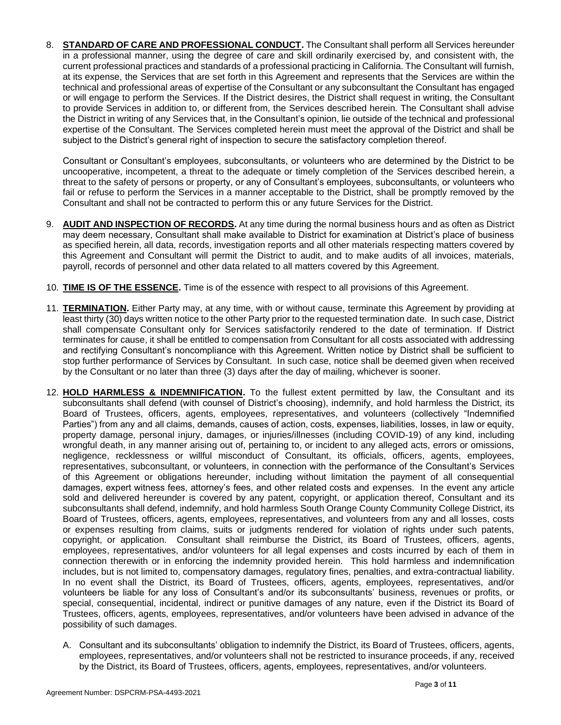8. **STANDARD OF CARE AND PROFESSIONAL CONDUCT.** The Consultant shall perform all Services hereunder in a professional manner, using the degree of care and skill ordinarily exercised by, and consistent with, the current professional practices and standards of a professional practicing in California. The Consultant will furnish, at its expense, the Services that are set forth in this Agreement and represents that the Services are within the technical and professional areas of expertise of the Consultant or any subconsultant the Consultant has engaged or will engage to perform the Services. If the District desires, the District shall request in writing, the Consultant to provide Services in addition to, or different from, the Services described herein. The Consultant shall advise the District in writing of any Services that, in the Consultant's opinion, lie outside of the technical and professional expertise of the Consultant. The Services completed herein must meet the approval of the District and shall be subject to the District's general right of inspection to secure the satisfactory completion thereof.

Consultant or Consultant's employees, subconsultants, or volunteers who are determined by the District to be uncooperative, incompetent, a threat to the adequate or timely completion of the Services described herein, a threat to the safety of persons or property, or any of Consultant's employees, subconsultants, or volunteers who fail or refuse to perform the Services in a manner acceptable to the District, shall be promptly removed by the Consultant and shall not be contracted to perform this or any future Services for the District.

- 9. **AUDIT AND INSPECTION OF RECORDS.** At any time during the normal business hours and as often as District may deem necessary, Consultant shall make available to District for examination at District's place of business as specified herein, all data, records, investigation reports and all other materials respecting matters covered by this Agreement and Consultant will permit the District to audit, and to make audits of all invoices, materials, payroll, records of personnel and other data related to all matters covered by this Agreement.
- 10. **TIME IS OF THE ESSENCE.** Time is of the essence with respect to all provisions of this Agreement.
- 11. **TERMINATION.** Either Party may, at any time, with or without cause, terminate this Agreement by providing at least thirty (30) days written notice to the other Party prior to the requested termination date. In such case, District shall compensate Consultant only for Services satisfactorily rendered to the date of termination. If District terminates for cause, it shall be entitled to compensation from Consultant for all costs associated with addressing and rectifying Consultant's noncompliance with this Agreement. Written notice by District shall be sufficient to stop further performance of Services by Consultant. In such case, notice shall be deemed given when received by the Consultant or no later than three (3) days after the day of mailing, whichever is sooner.
- 12. **HOLD HARMLESS & INDEMNIFICATION.** To the fullest extent permitted by law, the Consultant and its subconsultants shall defend (with counsel of District's choosing), indemnify, and hold harmless the District, its Board of Trustees, officers, agents, employees, representatives, and volunteers (collectively "Indemnified Parties") from any and all claims, demands, causes of action, costs, expenses, liabilities, losses, in law or equity, property damage, personal injury, damages, or injuries/illnesses (including COVID-19) of any kind, including wrongful death, in any manner arising out of, pertaining to, or incident to any alleged acts, errors or omissions, negligence, recklessness or willful misconduct of Consultant, its officials, officers, agents, employees, representatives, subconsultant, or volunteers, in connection with the performance of the Consultant's Services of this Agreement or obligations hereunder, including without limitation the payment of all consequential damages, expert witness fees, attorney's fees, and other related costs and expenses. In the event any article sold and delivered hereunder is covered by any patent, copyright, or application thereof, Consultant and its subconsultants shall defend, indemnify, and hold harmless South Orange County Community College District, its Board of Trustees, officers, agents, employees, representatives, and volunteers from any and all losses, costs or expenses resulting from claims, suits or judgments rendered for violation of rights under such patents, copyright, or application. Consultant shall reimburse the District, its Board of Trustees, officers, agents, employees, representatives, and/or volunteers for all legal expenses and costs incurred by each of them in connection therewith or in enforcing the indemnity provided herein. This hold harmless and indemnification includes, but is not limited to, compensatory damages, regulatory fines, penalties, and extra-contractual liability. In no event shall the District, its Board of Trustees, officers, agents, employees, representatives, and/or volunteers be liable for any loss of Consultant's and/or its subconsultants' business, revenues or profits, or special, consequential, incidental, indirect or punitive damages of any nature, even if the District its Board of Trustees, officers, agents, employees, representatives, and/or volunteers have been advised in advance of the possibility of such damages.
	- A. Consultant and its subconsultants' obligation to indemnify the District, its Board of Trustees, officers, agents, employees, representatives, and/or volunteers shall not be restricted to insurance proceeds, if any, received by the District, its Board of Trustees, officers, agents, employees, representatives, and/or volunteers.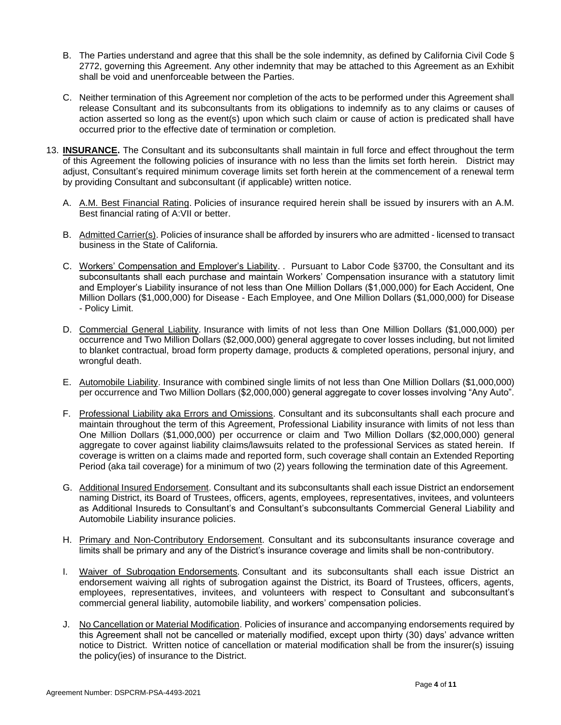- B. The Parties understand and agree that this shall be the sole indemnity, as defined by California Civil Code § 2772, governing this Agreement. Any other indemnity that may be attached to this Agreement as an Exhibit shall be void and unenforceable between the Parties.
- C. Neither termination of this Agreement nor completion of the acts to be performed under this Agreement shall release Consultant and its subconsultants from its obligations to indemnify as to any claims or causes of action asserted so long as the event(s) upon which such claim or cause of action is predicated shall have occurred prior to the effective date of termination or completion.
- 13. **INSURANCE.** The Consultant and its subconsultants shall maintain in full force and effect throughout the term of this Agreement the following policies of insurance with no less than the limits set forth herein. District may adjust, Consultant's required minimum coverage limits set forth herein at the commencement of a renewal term by providing Consultant and subconsultant (if applicable) written notice.
	- A. A.M. Best Financial Rating. Policies of insurance required herein shall be issued by insurers with an A.M. Best financial rating of A:VII or better.
	- B. Admitted Carrier(s). Policies of insurance shall be afforded by insurers who are admitted licensed to transact business in the State of California.
	- C. Workers' Compensation and Employer's Liability. . Pursuant to Labor Code §3700, the Consultant and its subconsultants shall each purchase and maintain Workers' Compensation insurance with a statutory limit and Employer's Liability insurance of not less than One Million Dollars (\$1,000,000) for Each Accident, One Million Dollars (\$1,000,000) for Disease - Each Employee, and One Million Dollars (\$1,000,000) for Disease - Policy Limit.
	- D. Commercial General Liability. Insurance with limits of not less than One Million Dollars (\$1,000,000) per occurrence and Two Million Dollars (\$2,000,000) general aggregate to cover losses including, but not limited to blanket contractual, broad form property damage, products & completed operations, personal injury, and wrongful death.
	- E. Automobile Liability. Insurance with combined single limits of not less than One Million Dollars (\$1,000,000) per occurrence and Two Million Dollars (\$2,000,000) general aggregate to cover losses involving "Any Auto".
	- F. Professional Liability aka Errors and Omissions. Consultant and its subconsultants shall each procure and maintain throughout the term of this Agreement, Professional Liability insurance with limits of not less than One Million Dollars (\$1,000,000) per occurrence or claim and Two Million Dollars (\$2,000,000) general aggregate to cover against liability claims/lawsuits related to the professional Services as stated herein. If coverage is written on a claims made and reported form, such coverage shall contain an Extended Reporting Period (aka tail coverage) for a minimum of two (2) years following the termination date of this Agreement.
	- G. Additional Insured Endorsement. Consultant and its subconsultants shall each issue District an endorsement naming District, its Board of Trustees, officers, agents, employees, representatives, invitees, and volunteers as Additional Insureds to Consultant's and Consultant's subconsultants Commercial General Liability and Automobile Liability insurance policies.
	- H. Primary and Non-Contributory Endorsement. Consultant and its subconsultants insurance coverage and limits shall be primary and any of the District's insurance coverage and limits shall be non-contributory.
	- I. Waiver of Subrogation Endorsements. Consultant and its subconsultants shall each issue District an endorsement waiving all rights of subrogation against the District, its Board of Trustees, officers, agents, employees, representatives, invitees, and volunteers with respect to Consultant and subconsultant's commercial general liability, automobile liability, and workers' compensation policies.
	- J. No Cancellation or Material Modification. Policies of insurance and accompanying endorsements required by this Agreement shall not be cancelled or materially modified, except upon thirty (30) days' advance written notice to District. Written notice of cancellation or material modification shall be from the insurer(s) issuing the policy(ies) of insurance to the District.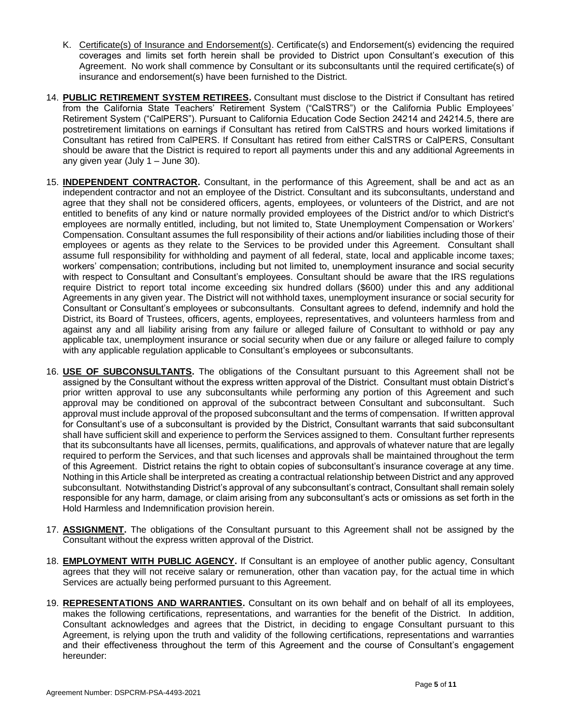- K. Certificate(s) of Insurance and Endorsement(s). Certificate(s) and Endorsement(s) evidencing the required coverages and limits set forth herein shall be provided to District upon Consultant's execution of this Agreement. No work shall commence by Consultant or its subconsultants until the required certificate(s) of insurance and endorsement(s) have been furnished to the District.
- 14. **PUBLIC RETIREMENT SYSTEM RETIREES.** Consultant must disclose to the District if Consultant has retired from the California State Teachers' Retirement System ("CalSTRS") or the California Public Employees' Retirement System ("CalPERS"). Pursuant to California Education Code Section 24214 and 24214.5, there are postretirement limitations on earnings if Consultant has retired from CalSTRS and hours worked limitations if Consultant has retired from CalPERS. If Consultant has retired from either CalSTRS or CalPERS, Consultant should be aware that the District is required to report all payments under this and any additional Agreements in any given year (July 1 – June 30).
- 15. **INDEPENDENT CONTRACTOR.** Consultant, in the performance of this Agreement, shall be and act as an independent contractor and not an employee of the District. Consultant and its subconsultants, understand and agree that they shall not be considered officers, agents, employees, or volunteers of the District, and are not entitled to benefits of any kind or nature normally provided employees of the District and/or to which District's employees are normally entitled, including, but not limited to, State Unemployment Compensation or Workers' Compensation. Consultant assumes the full responsibility of their actions and/or liabilities including those of their employees or agents as they relate to the Services to be provided under this Agreement. Consultant shall assume full responsibility for withholding and payment of all federal, state, local and applicable income taxes; workers' compensation; contributions, including but not limited to, unemployment insurance and social security with respect to Consultant and Consultant's employees. Consultant should be aware that the IRS regulations require District to report total income exceeding six hundred dollars (\$600) under this and any additional Agreements in any given year. The District will not withhold taxes, unemployment insurance or social security for Consultant or Consultant's employees or subconsultants. Consultant agrees to defend, indemnify and hold the District, its Board of Trustees, officers, agents, employees, representatives, and volunteers harmless from and against any and all liability arising from any failure or alleged failure of Consultant to withhold or pay any applicable tax, unemployment insurance or social security when due or any failure or alleged failure to comply with any applicable regulation applicable to Consultant's employees or subconsultants.
- 16. **USE OF SUBCONSULTANTS.** The obligations of the Consultant pursuant to this Agreement shall not be assigned by the Consultant without the express written approval of the District. Consultant must obtain District's prior written approval to use any subconsultants while performing any portion of this Agreement and such approval may be conditioned on approval of the subcontract between Consultant and subconsultant. Such approval must include approval of the proposed subconsultant and the terms of compensation. If written approval for Consultant's use of a subconsultant is provided by the District, Consultant warrants that said subconsultant shall have sufficient skill and experience to perform the Services assigned to them. Consultant further represents that its subconsultants have all licenses, permits, qualifications, and approvals of whatever nature that are legally required to perform the Services, and that such licenses and approvals shall be maintained throughout the term of this Agreement. District retains the right to obtain copies of subconsultant's insurance coverage at any time. Nothing in this Article shall be interpreted as creating a contractual relationship between District and any approved subconsultant. Notwithstanding District's approval of any subconsultant's contract, Consultant shall remain solely responsible for any harm, damage, or claim arising from any subconsultant's acts or omissions as set forth in the Hold Harmless and Indemnification provision herein.
- 17. **ASSIGNMENT.** The obligations of the Consultant pursuant to this Agreement shall not be assigned by the Consultant without the express written approval of the District.
- 18. **EMPLOYMENT WITH PUBLIC AGENCY.** If Consultant is an employee of another public agency, Consultant agrees that they will not receive salary or remuneration, other than vacation pay, for the actual time in which Services are actually being performed pursuant to this Agreement.
- 19. **REPRESENTATIONS AND WARRANTIES.** Consultant on its own behalf and on behalf of all its employees, makes the following certifications, representations, and warranties for the benefit of the District. In addition, Consultant acknowledges and agrees that the District, in deciding to engage Consultant pursuant to this Agreement, is relying upon the truth and validity of the following certifications, representations and warranties and their effectiveness throughout the term of this Agreement and the course of Consultant's engagement hereunder: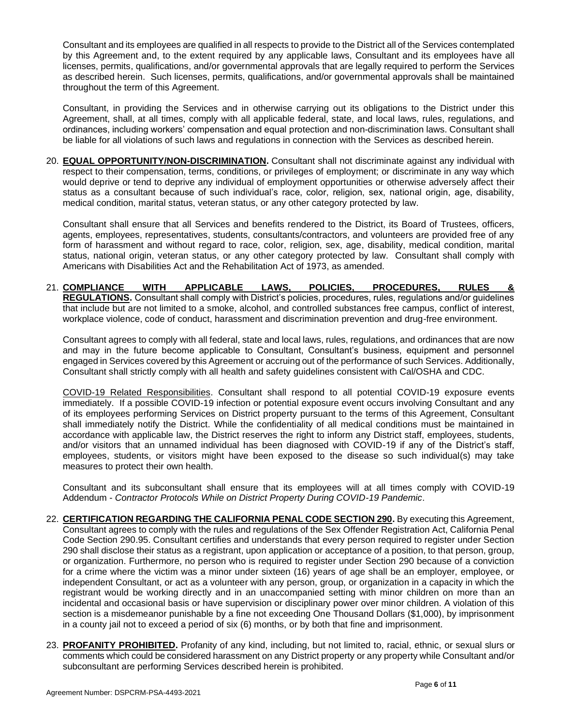Consultant and its employees are qualified in all respects to provide to the District all of the Services contemplated by this Agreement and, to the extent required by any applicable laws, Consultant and its employees have all licenses, permits, qualifications, and/or governmental approvals that are legally required to perform the Services as described herein. Such licenses, permits, qualifications, and/or governmental approvals shall be maintained throughout the term of this Agreement.

Consultant, in providing the Services and in otherwise carrying out its obligations to the District under this Agreement, shall, at all times, comply with all applicable federal, state, and local laws, rules, regulations, and ordinances, including workers' compensation and equal protection and non-discrimination laws. Consultant shall be liable for all violations of such laws and regulations in connection with the Services as described herein.

20. **EQUAL OPPORTUNITY/NON-DISCRIMINATION.** Consultant shall not discriminate against any individual with respect to their compensation, terms, conditions, or privileges of employment; or discriminate in any way which would deprive or tend to deprive any individual of employment opportunities or otherwise adversely affect their status as a consultant because of such individual's race, color, religion, sex, national origin, age, disability, medical condition, marital status, veteran status, or any other category protected by law.

Consultant shall ensure that all Services and benefits rendered to the District, its Board of Trustees, officers, agents, employees, representatives, students, consultants/contractors, and volunteers are provided free of any form of harassment and without regard to race, color, religion, sex, age, disability, medical condition, marital status, national origin, veteran status, or any other category protected by law. Consultant shall comply with Americans with Disabilities Act and the Rehabilitation Act of 1973, as amended.

21. COMPLIANCE WITH APPLICABLE LAWS, POLICIES, PROCEDURES, RULES **REGULATIONS.** Consultant shall comply with District's policies, procedures, rules, regulations and/or guidelines that include but are not limited to a smoke, alcohol, and controlled substances free campus, conflict of interest, workplace violence, code of conduct, harassment and discrimination prevention and drug-free environment.

Consultant agrees to comply with all federal, state and local laws, rules, regulations, and ordinances that are now and may in the future become applicable to Consultant, Consultant's business, equipment and personnel engaged in Services covered by this Agreement or accruing out of the performance of such Services. Additionally, Consultant shall strictly comply with all health and safety guidelines consistent with Cal/OSHA and CDC.

COVID-19 Related Responsibilities. Consultant shall respond to all potential COVID-19 exposure events immediately. If a possible COVID-19 infection or potential exposure event occurs involving Consultant and any of its employees performing Services on District property pursuant to the terms of this Agreement, Consultant shall immediately notify the District. While the confidentiality of all medical conditions must be maintained in accordance with applicable law, the District reserves the right to inform any District staff, employees, students, and/or visitors that an unnamed individual has been diagnosed with COVID-19 if any of the District's staff, employees, students, or visitors might have been exposed to the disease so such individual(s) may take measures to protect their own health.

Consultant and its subconsultant shall ensure that its employees will at all times comply with COVID-19 Addendum - *Contractor Protocols While on District Property During COVID-19 Pandemic*.

- 22. **CERTIFICATION REGARDING THE CALIFORNIA PENAL CODE SECTION 290.** By executing this Agreement, Consultant agrees to comply with the rules and regulations of the Sex Offender Registration Act, California Penal Code Section 290.95. Consultant certifies and understands that every person required to register under Section 290 shall disclose their status as a registrant, upon application or acceptance of a position, to that person, group, or organization. Furthermore, no person who is required to register under Section 290 because of a conviction for a crime where the victim was a minor under sixteen (16) years of age shall be an employer, employee, or independent Consultant, or act as a volunteer with any person, group, or organization in a capacity in which the registrant would be working directly and in an unaccompanied setting with minor children on more than an incidental and occasional basis or have supervision or disciplinary power over minor children. A violation of this section is a misdemeanor punishable by a fine not exceeding One Thousand Dollars (\$1,000), by imprisonment in a county jail not to exceed a period of six (6) months, or by both that fine and imprisonment.
- 23. **PROFANITY PROHIBITED.** Profanity of any kind, including, but not limited to, racial, ethnic, or sexual slurs or comments which could be considered harassment on any District property or any property while Consultant and/or subconsultant are performing Services described herein is prohibited.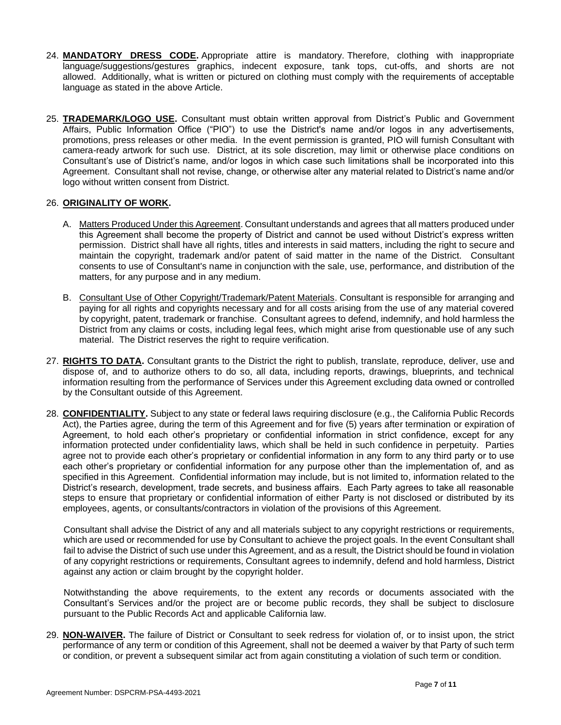- 24. **MANDATORY DRESS CODE.** Appropriate attire is mandatory. Therefore, clothing with inappropriate language/suggestions/gestures graphics, indecent exposure, tank tops, cut-offs, and shorts are not allowed. Additionally, what is written or pictured on clothing must comply with the requirements of acceptable language as stated in the above Article.
- 25. **TRADEMARK/LOGO USE.** Consultant must obtain written approval from District's Public and Government Affairs, Public Information Office ("PIO") to use the District's name and/or logos in any advertisements, promotions, press releases or other media. In the event permission is granted, PIO will furnish Consultant with camera-ready artwork for such use. District, at its sole discretion, may limit or otherwise place conditions on Consultant's use of District's name, and/or logos in which case such limitations shall be incorporated into this Agreement. Consultant shall not revise, change, or otherwise alter any material related to District's name and/or logo without written consent from District.

#### 26. **ORIGINALITY OF WORK.**

- A. Matters Produced Under this Agreement. Consultant understands and agrees that all matters produced under this Agreement shall become the property of District and cannot be used without District's express written permission. District shall have all rights, titles and interests in said matters, including the right to secure and maintain the copyright, trademark and/or patent of said matter in the name of the District. Consultant consents to use of Consultant's name in conjunction with the sale, use, performance, and distribution of the matters, for any purpose and in any medium.
- B. Consultant Use of Other Copyright/Trademark/Patent Materials. Consultant is responsible for arranging and paying for all rights and copyrights necessary and for all costs arising from the use of any material covered by copyright, patent, trademark or franchise. Consultant agrees to defend, indemnify, and hold harmless the District from any claims or costs, including legal fees, which might arise from questionable use of any such material. The District reserves the right to require verification.
- 27. **RIGHTS TO DATA.** Consultant grants to the District the right to publish, translate, reproduce, deliver, use and dispose of, and to authorize others to do so, all data, including reports, drawings, blueprints, and technical information resulting from the performance of Services under this Agreement excluding data owned or controlled by the Consultant outside of this Agreement.
- 28. **CONFIDENTIALITY.** Subject to any state or federal laws requiring disclosure (e.g., the California Public Records Act), the Parties agree, during the term of this Agreement and for five (5) years after termination or expiration of Agreement, to hold each other's proprietary or confidential information in strict confidence, except for any information protected under confidentiality laws, which shall be held in such confidence in perpetuity. Parties agree not to provide each other's proprietary or confidential information in any form to any third party or to use each other's proprietary or confidential information for any purpose other than the implementation of, and as specified in this Agreement. Confidential information may include, but is not limited to, information related to the District's research, development, trade secrets, and business affairs. Each Party agrees to take all reasonable steps to ensure that proprietary or confidential information of either Party is not disclosed or distributed by its employees, agents, or consultants/contractors in violation of the provisions of this Agreement.

Consultant shall advise the District of any and all materials subject to any copyright restrictions or requirements, which are used or recommended for use by Consultant to achieve the project goals. In the event Consultant shall fail to advise the District of such use under this Agreement, and as a result, the District should be found in violation of any copyright restrictions or requirements, Consultant agrees to indemnify, defend and hold harmless, District against any action or claim brought by the copyright holder.

Notwithstanding the above requirements, to the extent any records or documents associated with the Consultant's Services and/or the project are or become public records, they shall be subject to disclosure pursuant to the Public Records Act and applicable California law.

29. **NON-WAIVER.** The failure of District or Consultant to seek redress for violation of, or to insist upon, the strict performance of any term or condition of this Agreement, shall not be deemed a waiver by that Party of such term or condition, or prevent a subsequent similar act from again constituting a violation of such term or condition.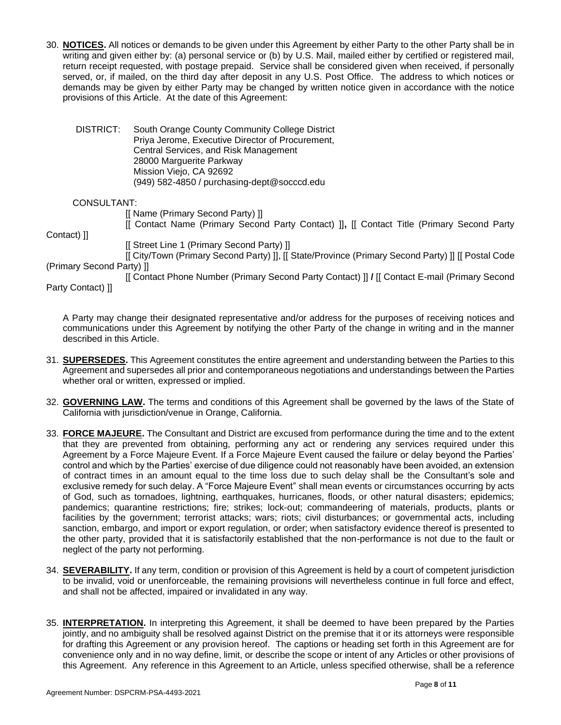30. **NOTICES.** All notices or demands to be given under this Agreement by either Party to the other Party shall be in writing and given either by: (a) personal service or (b) by U.S. Mail, mailed either by certified or registered mail, return receipt requested, with postage prepaid. Service shall be considered given when received, if personally served, or, if mailed, on the third day after deposit in any U.S. Post Office. The address to which notices or demands may be given by either Party may be changed by written notice given in accordance with the notice provisions of this Article. At the date of this Agreement:

DISTRICT: South Orange County Community College District Priya Jerome, Executive Director of Procurement, Central Services, and Risk Management 28000 Marguerite Parkway Mission Viejo, CA 92692 (949) 582-4850 / purchasing-dept@socccd.edu

#### CONSULTANT:

[[ Name (Primary Second Party) ]]

[[ Contact Name (Primary Second Party Contact) ]]**,** [[ Contact Title (Primary Second Party

Contact) ]]

[[ Street Line 1 (Primary Second Party) ]]

[[ City/Town (Primary Second Party) ]], [[ State/Province (Primary Second Party) ]] [[ Postal Code (Primary Second Party) ]]

[[ Contact Phone Number (Primary Second Party Contact) ]] **/** [[ Contact E-mail (Primary Second Party Contact) ]]

A Party may change their designated representative and/or address for the purposes of receiving notices and communications under this Agreement by notifying the other Party of the change in writing and in the manner described in this Article.

- 31. **SUPERSEDES.** This Agreement constitutes the entire agreement and understanding between the Parties to this Agreement and supersedes all prior and contemporaneous negotiations and understandings between the Parties whether oral or written, expressed or implied.
- 32. **GOVERNING LAW.** The terms and conditions of this Agreement shall be governed by the laws of the State of California with jurisdiction/venue in Orange, California.
- 33. **FORCE MAJEURE.** The Consultant and District are excused from performance during the time and to the extent that they are prevented from obtaining, performing any act or rendering any services required under this Agreement by a Force Majeure Event. If a Force Majeure Event caused the failure or delay beyond the Parties' control and which by the Parties' exercise of due diligence could not reasonably have been avoided, an extension of contract times in an amount equal to the time loss due to such delay shall be the Consultant's sole and exclusive remedy for such delay. A "Force Majeure Event" shall mean events or circumstances occurring by acts of God, such as tornadoes, lightning, earthquakes, hurricanes, floods, or other natural disasters; epidemics; pandemics; quarantine restrictions; fire; strikes; lock-out; commandeering of materials, products, plants or facilities by the government; terrorist attacks; wars; riots; civil disturbances; or governmental acts, including sanction, embargo, and import or export regulation, or order; when satisfactory evidence thereof is presented to the other party, provided that it is satisfactorily established that the non-performance is not due to the fault or neglect of the party not performing.
- 34. **SEVERABILITY.** If any term, condition or provision of this Agreement is held by a court of competent jurisdiction to be invalid, void or unenforceable, the remaining provisions will nevertheless continue in full force and effect, and shall not be affected, impaired or invalidated in any way.
- 35. **INTERPRETATION.** In interpreting this Agreement, it shall be deemed to have been prepared by the Parties jointly, and no ambiguity shall be resolved against District on the premise that it or its attorneys were responsible for drafting this Agreement or any provision hereof. The captions or heading set forth in this Agreement are for convenience only and in no way define, limit, or describe the scope or intent of any Articles or other provisions of this Agreement. Any reference in this Agreement to an Article, unless specified otherwise, shall be a reference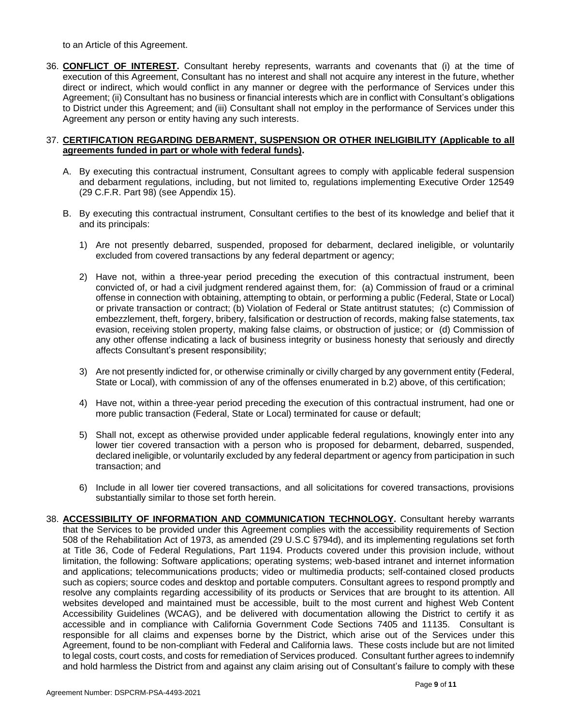to an Article of this Agreement.

36. **CONFLICT OF INTEREST.** Consultant hereby represents, warrants and covenants that (i) at the time of execution of this Agreement, Consultant has no interest and shall not acquire any interest in the future, whether direct or indirect, which would conflict in any manner or degree with the performance of Services under this Agreement; (ii) Consultant has no business or financial interests which are in conflict with Consultant's obligations to District under this Agreement; and (iii) Consultant shall not employ in the performance of Services under this Agreement any person or entity having any such interests.

#### 37. **CERTIFICATION REGARDING DEBARMENT, SUSPENSION OR OTHER INELIGIBILITY (Applicable to all agreements funded in part or whole with federal funds).**

- A. By executing this contractual instrument, Consultant agrees to comply with applicable federal suspension and debarment regulations, including, but not limited to, regulations implementing Executive Order 12549 (29 C.F.R. Part 98) (see Appendix 15).
- B. By executing this contractual instrument, Consultant certifies to the best of its knowledge and belief that it and its principals:
	- 1) Are not presently debarred, suspended, proposed for debarment, declared ineligible, or voluntarily excluded from covered transactions by any federal department or agency;
	- 2) Have not, within a three-year period preceding the execution of this contractual instrument, been convicted of, or had a civil judgment rendered against them, for: (a) Commission of fraud or a criminal offense in connection with obtaining, attempting to obtain, or performing a public (Federal, State or Local) or private transaction or contract; (b) Violation of Federal or State antitrust statutes; (c) Commission of embezzlement, theft, forgery, bribery, falsification or destruction of records, making false statements, tax evasion, receiving stolen property, making false claims, or obstruction of justice; or (d) Commission of any other offense indicating a lack of business integrity or business honesty that seriously and directly affects Consultant's present responsibility;
	- 3) Are not presently indicted for, or otherwise criminally or civilly charged by any government entity (Federal, State or Local), with commission of any of the offenses enumerated in b.2) above, of this certification;
	- 4) Have not, within a three-year period preceding the execution of this contractual instrument, had one or more public transaction (Federal, State or Local) terminated for cause or default;
	- 5) Shall not, except as otherwise provided under applicable federal regulations, knowingly enter into any lower tier covered transaction with a person who is proposed for debarment, debarred, suspended, declared ineligible, or voluntarily excluded by any federal department or agency from participation in such transaction; and
	- 6) Include in all lower tier covered transactions, and all solicitations for covered transactions, provisions substantially similar to those set forth herein.
- 38. **ACCESSIBILITY OF INFORMATION AND COMMUNICATION TECHNOLOGY.** Consultant hereby warrants that the Services to be provided under this Agreement complies with the accessibility requirements of Section 508 of the Rehabilitation Act of 1973, as amended (29 U.S.C §794d), and its implementing regulations set forth at Title 36, Code of Federal Regulations, Part 1194. Products covered under this provision include, without limitation, the following: Software applications; operating systems; web-based intranet and internet information and applications; telecommunications products; video or multimedia products; self-contained closed products such as copiers; source codes and desktop and portable computers. Consultant agrees to respond promptly and resolve any complaints regarding accessibility of its products or Services that are brought to its attention. All websites developed and maintained must be accessible, built to the most current and highest Web Content Accessibility Guidelines (WCAG), and be delivered with documentation allowing the District to certify it as accessible and in compliance with California Government Code Sections 7405 and 11135. Consultant is responsible for all claims and expenses borne by the District, which arise out of the Services under this Agreement, found to be non-compliant with Federal and California laws. These costs include but are not limited to legal costs, court costs, and costs for remediation of Services produced. Consultant further agrees to indemnify and hold harmless the District from and against any claim arising out of Consultant's failure to comply with these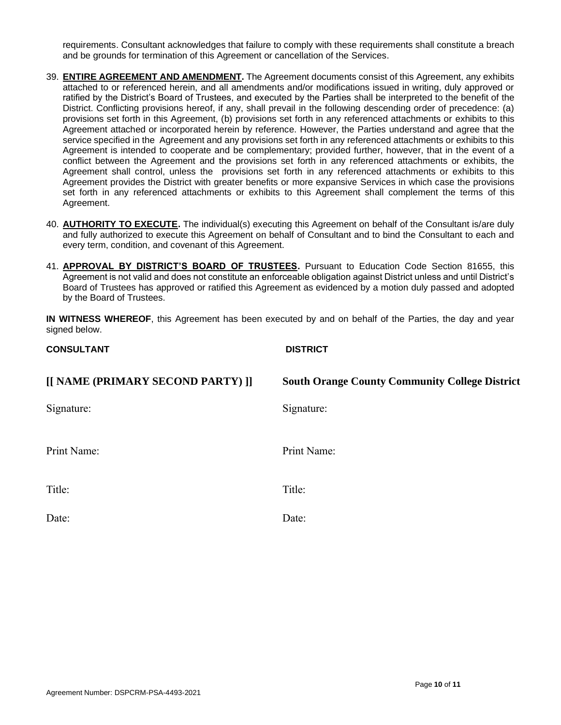requirements. Consultant acknowledges that failure to comply with these requirements shall constitute a breach and be grounds for termination of this Agreement or cancellation of the Services.

- 39. **ENTIRE AGREEMENT AND AMENDMENT.** The Agreement documents consist of this Agreement, any exhibits attached to or referenced herein, and all amendments and/or modifications issued in writing, duly approved or ratified by the District's Board of Trustees, and executed by the Parties shall be interpreted to the benefit of the District. Conflicting provisions hereof, if any, shall prevail in the following descending order of precedence: (a) provisions set forth in this Agreement, (b) provisions set forth in any referenced attachments or exhibits to this Agreement attached or incorporated herein by reference. However, the Parties understand and agree that the service specified in the Agreement and any provisions set forth in any referenced attachments or exhibits to this Agreement is intended to cooperate and be complementary; provided further, however, that in the event of a conflict between the Agreement and the provisions set forth in any referenced attachments or exhibits, the Agreement shall control, unless the provisions set forth in any referenced attachments or exhibits to this Agreement provides the District with greater benefits or more expansive Services in which case the provisions set forth in any referenced attachments or exhibits to this Agreement shall complement the terms of this Agreement.
- 40. **AUTHORITY TO EXECUTE.** The individual(s) executing this Agreement on behalf of the Consultant is/are duly and fully authorized to execute this Agreement on behalf of Consultant and to bind the Consultant to each and every term, condition, and covenant of this Agreement.
- 41. **APPROVAL BY DISTRICT'S BOARD OF TRUSTEES.** Pursuant to Education Code Section 81655, this Agreement is not valid and does not constitute an enforceable obligation against District unless and until District's Board of Trustees has approved or ratified this Agreement as evidenced by a motion duly passed and adopted by the Board of Trustees.

**IN WITNESS WHEREOF**, this Agreement has been executed by and on behalf of the Parties, the day and year signed below.

| <b>CONSULTANT</b>                 | <b>DISTRICT</b>                                       |
|-----------------------------------|-------------------------------------------------------|
| [[ NAME (PRIMARY SECOND PARTY) ]] | <b>South Orange County Community College District</b> |
| Signature:                        | Signature:                                            |
| Print Name:                       | Print Name:                                           |
| Title:                            | Title:                                                |
| Date:                             | Date:                                                 |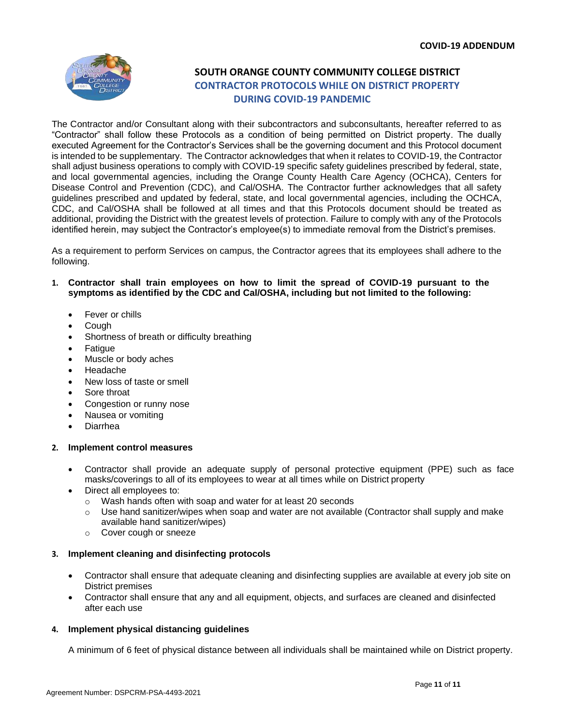

### **SOUTH ORANGE COUNTY COMMUNITY COLLEGE DISTRICT CONTRACTOR PROTOCOLS WHILE ON DISTRICT PROPERTY DURING COVID-19 PANDEMIC**

The Contractor and/or Consultant along with their subcontractors and subconsultants, hereafter referred to as "Contractor" shall follow these Protocols as a condition of being permitted on District property. The dually executed Agreement for the Contractor's Services shall be the governing document and this Protocol document is intended to be supplementary. The Contractor acknowledges that when it relates to COVID-19, the Contractor shall adjust business operations to comply with COVID-19 specific safety guidelines prescribed by federal, state, and local governmental agencies, including the Orange County Health Care Agency (OCHCA), Centers for Disease Control and Prevention (CDC), and Cal/OSHA. The Contractor further acknowledges that all safety guidelines prescribed and updated by federal, state, and local governmental agencies, including the OCHCA, CDC, and Cal/OSHA shall be followed at all times and that this Protocols document should be treated as additional, providing the District with the greatest levels of protection. Failure to comply with any of the Protocols identified herein, may subject the Contractor's employee(s) to immediate removal from the District's premises.

As a requirement to perform Services on campus, the Contractor agrees that its employees shall adhere to the following.

- **1. Contractor shall train employees on how to limit the spread of COVID-19 pursuant to the symptoms as identified by the CDC and Cal/OSHA, including but not limited to the following:**
	- Fever or chills
	- Cough
	- Shortness of breath or difficulty breathing
	- Fatigue
	- Muscle or body aches
	- Headache
	- New loss of taste or smell
	- Sore throat
	- Congestion or runny nose
	- Nausea or vomiting
	- Diarrhea

#### **2. Implement control measures**

- Contractor shall provide an adequate supply of personal protective equipment (PPE) such as face masks/coverings to all of its employees to wear at all times while on District property
- Direct all employees to:
	- o Wash hands often with soap and water for at least 20 seconds
	- $\circ$  Use hand sanitizer/wipes when soap and water are not available (Contractor shall supply and make available hand sanitizer/wipes)
	- o Cover cough or sneeze

#### **3. Implement cleaning and disinfecting protocols**

- Contractor shall ensure that adequate cleaning and disinfecting supplies are available at every job site on District premises
- Contractor shall ensure that any and all equipment, objects, and surfaces are cleaned and disinfected after each use

#### **4. Implement physical distancing guidelines**

A minimum of 6 feet of physical distance between all individuals shall be maintained while on District property.